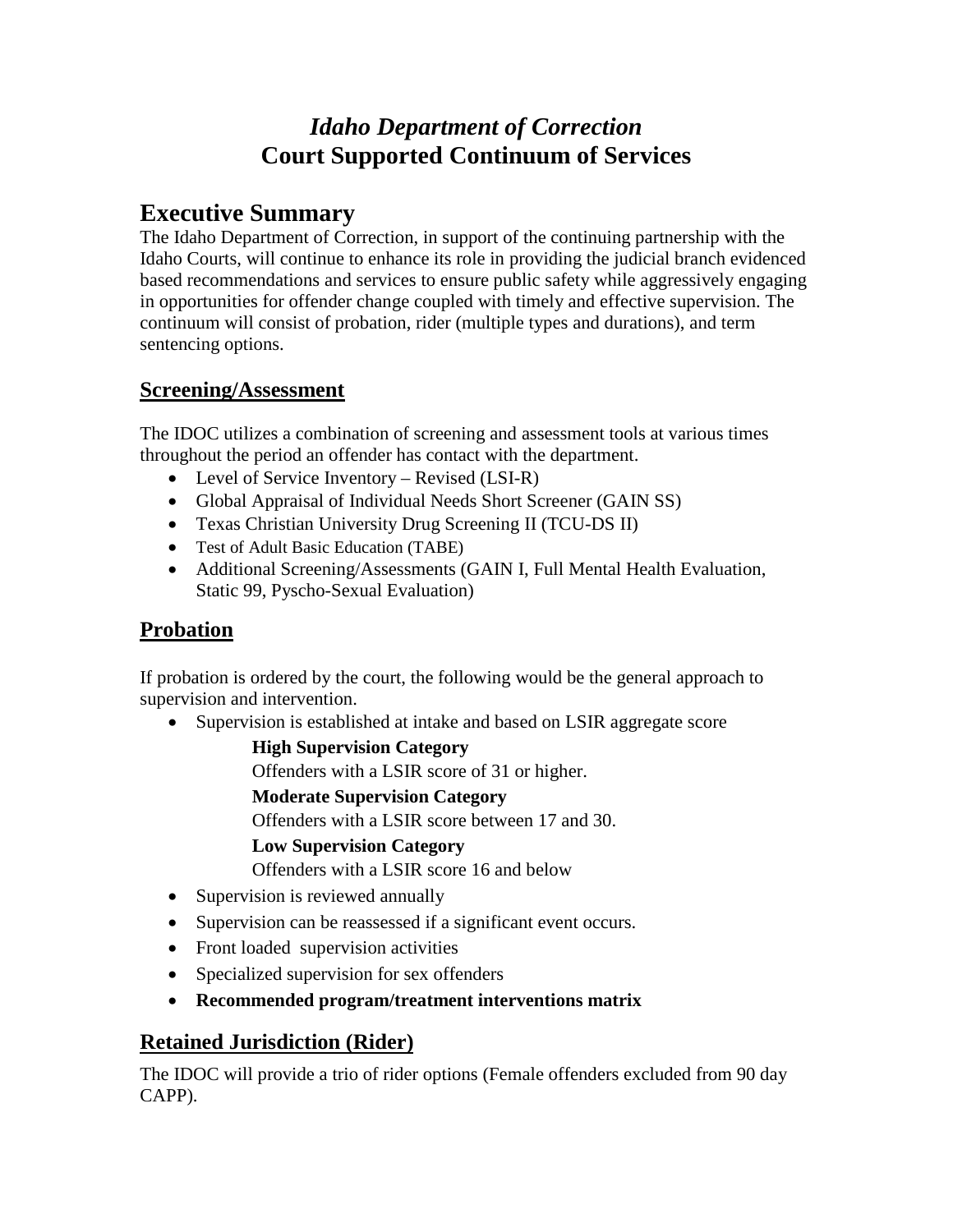# *Idaho Department of Correction* **Court Supported Continuum of Services**

# **Executive Summary**

The Idaho Department of Correction, in support of the continuing partnership with the Idaho Courts, will continue to enhance its role in providing the judicial branch evidenced based recommendations and services to ensure public safety while aggressively engaging in opportunities for offender change coupled with timely and effective supervision. The continuum will consist of probation, rider (multiple types and durations), and term sentencing options.

## **Screening/Assessment**

The IDOC utilizes a combination of screening and assessment tools at various times throughout the period an offender has contact with the department.

- Level of Service Inventory Revised (LSI-R)
- Global Appraisal of Individual Needs Short Screener (GAIN SS)
- Texas Christian University Drug Screening II (TCU-DS II)
- Test of Adult Basic Education (TABE)
- Additional Screening/Assessments (GAIN I, Full Mental Health Evaluation, Static 99, Pyscho-Sexual Evaluation)

## **Probation**

If probation is ordered by the court, the following would be the general approach to supervision and intervention.

• Supervision is established at intake and based on LSIR aggregate score

**High Supervision Category**

Offenders with a LSIR score of 31 or higher.

**Moderate Supervision Category**

Offenders with a LSIR score between 17 and 30.

## **Low Supervision Category**

Offenders with a LSIR score 16 and below

- Supervision is reviewed annually
- Supervision can be reassessed if a significant event occurs.
- Front loaded supervision activities
- Specialized supervision for sex offenders
- **Recommended program/treatment interventions matrix**

## **Retained Jurisdiction (Rider)**

The IDOC will provide a trio of rider options (Female offenders excluded from 90 day CAPP).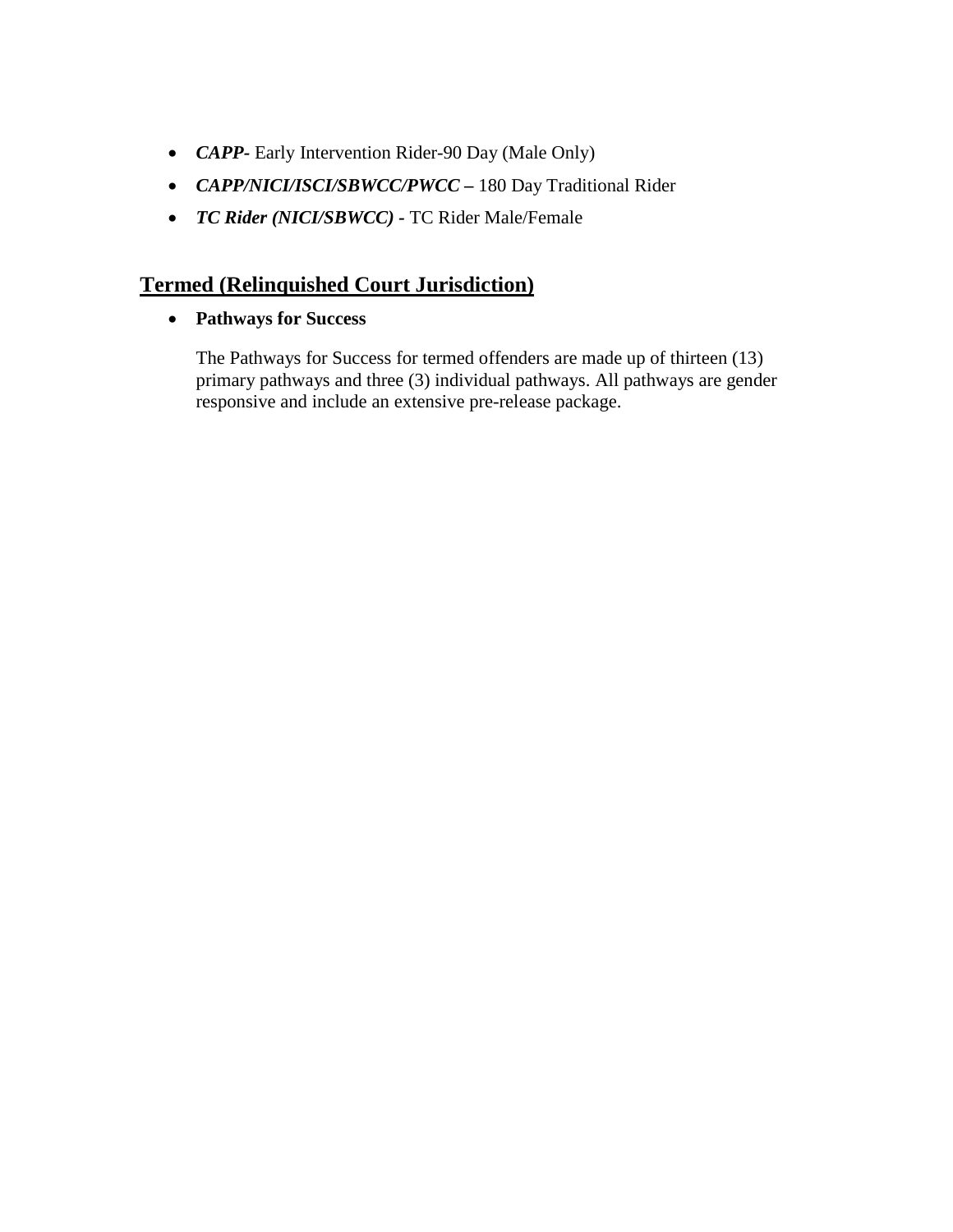- *CAPP-* Early Intervention Rider-90 Day (Male Only)
- *CAPP/NICI/ISCI/SBWCC/PWCC –* 180 Day Traditional Rider
- *TC Rider (NICI/SBWCC) -* TC Rider Male/Female

## **Termed (Relinquished Court Jurisdiction)**

• **Pathways for Success**

The Pathways for Success for termed offenders are made up of thirteen (13) primary pathways and three (3) individual pathways. All pathways are gender responsive and include an extensive pre-release package.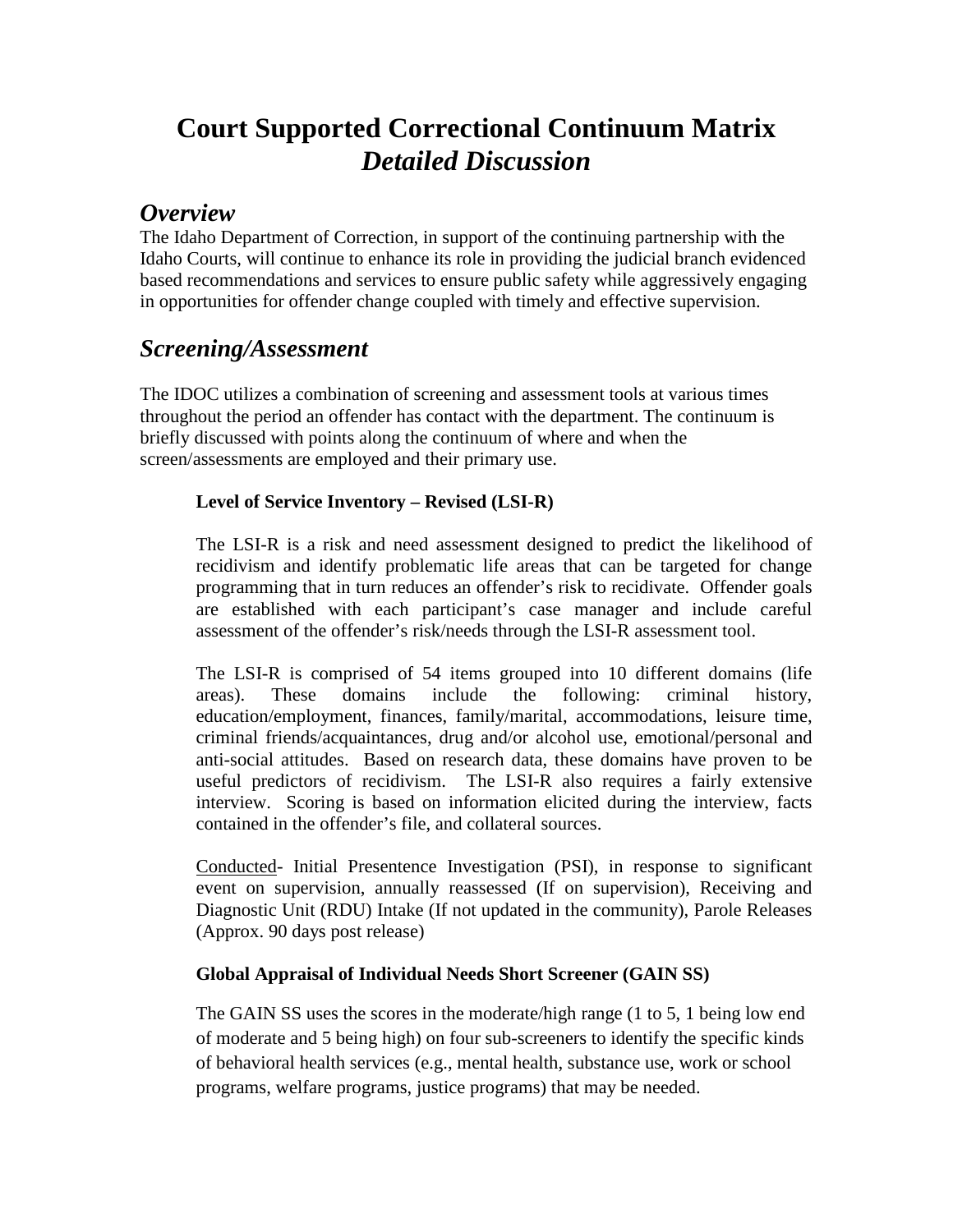# **Court Supported Correctional Continuum Matrix** *Detailed Discussion*

# *Overview*

The Idaho Department of Correction, in support of the continuing partnership with the Idaho Courts, will continue to enhance its role in providing the judicial branch evidenced based recommendations and services to ensure public safety while aggressively engaging in opportunities for offender change coupled with timely and effective supervision.

# *Screening/Assessment*

The IDOC utilizes a combination of screening and assessment tools at various times throughout the period an offender has contact with the department. The continuum is briefly discussed with points along the continuum of where and when the screen/assessments are employed and their primary use.

## **Level of Service Inventory – Revised (LSI-R)**

The LSI-R is a risk and need assessment designed to predict the likelihood of recidivism and identify problematic life areas that can be targeted for change programming that in turn reduces an offender's risk to recidivate. Offender goals are established with each participant's case manager and include careful assessment of the offender's risk/needs through the LSI-R assessment tool.

The LSI-R is comprised of 54 items grouped into 10 different domains (life areas). These domains include the following: criminal history, education/employment, finances, family/marital, accommodations, leisure time, criminal friends/acquaintances, drug and/or alcohol use, emotional/personal and anti-social attitudes. Based on research data, these domains have proven to be useful predictors of recidivism. The LSI-R also requires a fairly extensive interview. Scoring is based on information elicited during the interview, facts contained in the offender's file, and collateral sources.

Conducted- Initial Presentence Investigation (PSI), in response to significant event on supervision, annually reassessed (If on supervision), Receiving and Diagnostic Unit (RDU) Intake (If not updated in the community), Parole Releases (Approx. 90 days post release)

## **Global Appraisal of Individual Needs Short Screener (GAIN SS)**

The GAIN SS uses the scores in the moderate/high range (1 to 5, 1 being low end of moderate and 5 being high) on four sub-screeners to identify the specific kinds of behavioral health services (e.g., mental health, substance use, work or school programs, welfare programs, justice programs) that may be needed.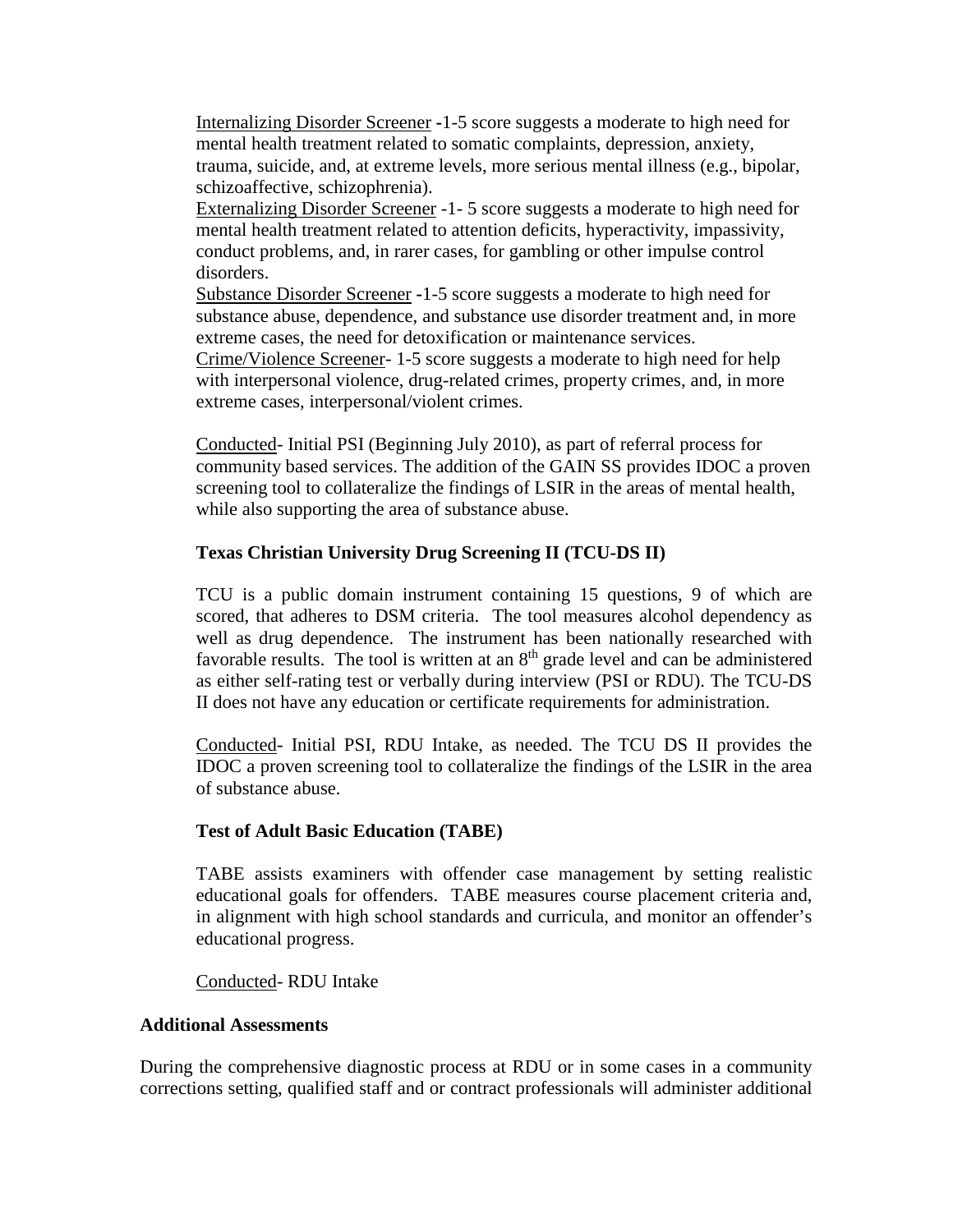Internalizing Disorder Screener **-**1-5 score suggests a moderate to high need for mental health treatment related to somatic complaints, depression, anxiety, trauma, suicide, and, at extreme levels, more serious mental illness (e.g., bipolar, schizoaffective, schizophrenia).

Externalizing Disorder Screener -1- 5 score suggests a moderate to high need for mental health treatment related to attention deficits, hyperactivity, impassivity, conduct problems, and, in rarer cases, for gambling or other impulse control disorders.

Substance Disorder Screener **-**1-5 score suggests a moderate to high need for substance abuse, dependence, and substance use disorder treatment and, in more extreme cases, the need for detoxification or maintenance services.

Crime/Violence Screener- 1-5 score suggests a moderate to high need for help with interpersonal violence, drug-related crimes, property crimes, and, in more extreme cases, interpersonal/violent crimes.

Conducted- Initial PSI (Beginning July 2010), as part of referral process for community based services. The addition of the GAIN SS provides IDOC a proven screening tool to collateralize the findings of LSIR in the areas of mental health, while also supporting the area of substance abuse.

#### **Texas Christian University Drug Screening II (TCU-DS II)**

TCU is a public domain instrument containing 15 questions, 9 of which are scored, that adheres to DSM criteria. The tool measures alcohol dependency as well as drug dependence. The instrument has been nationally researched with favorable results. The tool is written at an 8<sup>th</sup> grade level and can be administered as either self-rating test or verbally during interview (PSI or RDU). The TCU-DS II does not have any education or certificate requirements for administration.

Conducted- Initial PSI, RDU Intake, as needed. The TCU DS II provides the IDOC a proven screening tool to collateralize the findings of the LSIR in the area of substance abuse.

#### **Test of Adult Basic Education (TABE)**

TABE assists examiners with offender case management by setting realistic educational goals for offenders. TABE measures course placement criteria and, in alignment with high school standards and curricula, and monitor an offender's educational progress.

Conducted- RDU Intake

#### **Additional Assessments**

During the comprehensive diagnostic process at RDU or in some cases in a community corrections setting, qualified staff and or contract professionals will administer additional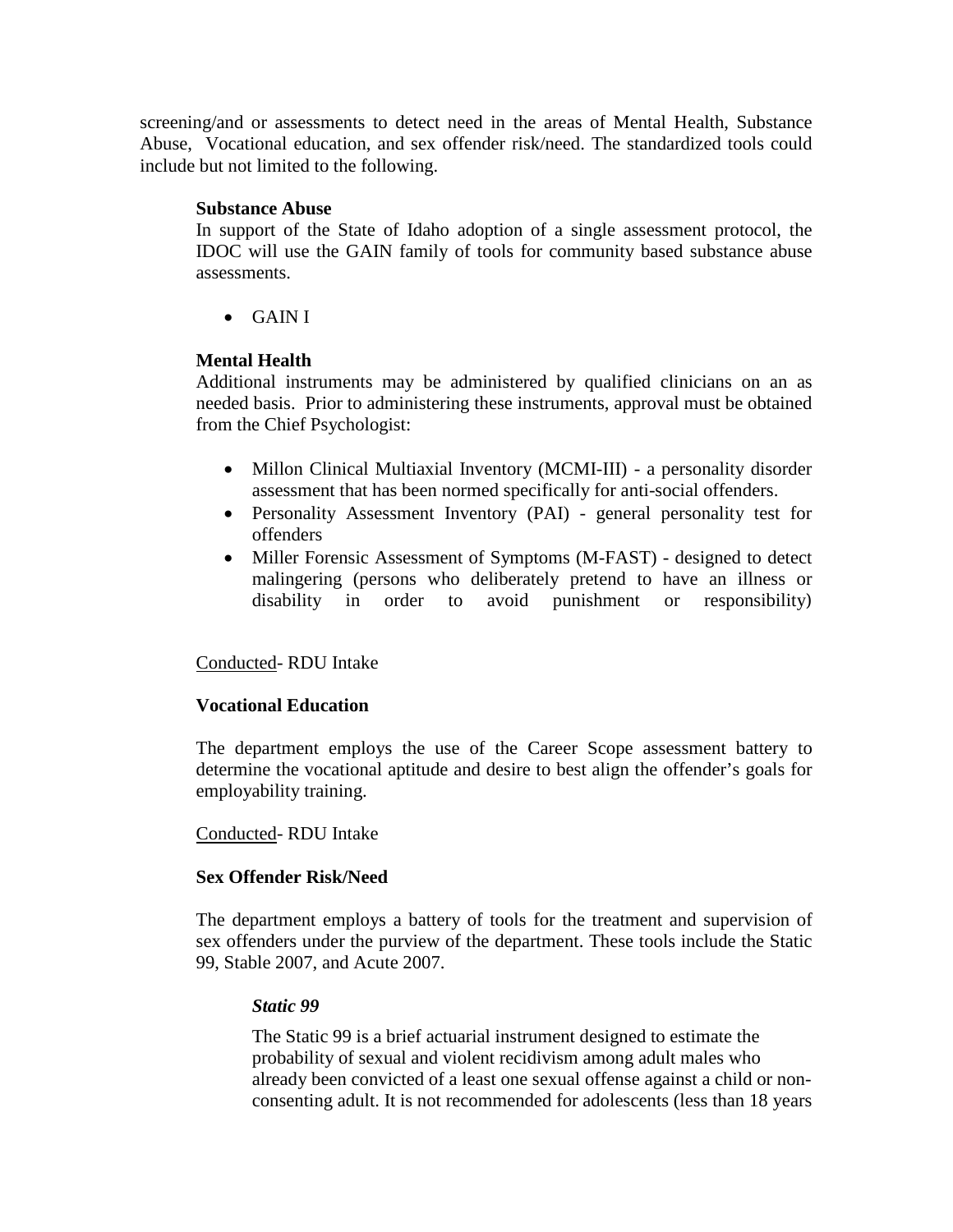screening/and or assessments to detect need in the areas of Mental Health, Substance Abuse, Vocational education, and sex offender risk/need. The standardized tools could include but not limited to the following.

#### **Substance Abuse**

In support of the State of Idaho adoption of a single assessment protocol, the IDOC will use the GAIN family of tools for community based substance abuse assessments.

• GAIN I

## **Mental Health**

Additional instruments may be administered by qualified clinicians on an as needed basis. Prior to administering these instruments, approval must be obtained from the Chief Psychologist:

- Millon Clinical Multiaxial Inventory (MCMI-III) a personality disorder assessment that has been normed specifically for anti-social offenders.
- Personality Assessment Inventory (PAI) general personality test for offenders
- Miller Forensic Assessment of Symptoms (M-FAST) designed to detect malingering (persons who deliberately pretend to have an illness or disability in order to avoid punishment or responsibility)

## Conducted- RDU Intake

## **Vocational Education**

The department employs the use of the Career Scope assessment battery to determine the vocational aptitude and desire to best align the offender's goals for employability training.

#### Conducted- RDU Intake

#### **Sex Offender Risk/Need**

The department employs a battery of tools for the treatment and supervision of sex offenders under the purview of the department. These tools include the Static 99, Stable 2007, and Acute 2007.

#### *Static 99*

The Static 99 is a brief actuarial instrument designed to estimate the probability of sexual and violent recidivism among adult males who already been convicted of a least one sexual offense against a child or nonconsenting adult. It is not recommended for adolescents (less than 18 years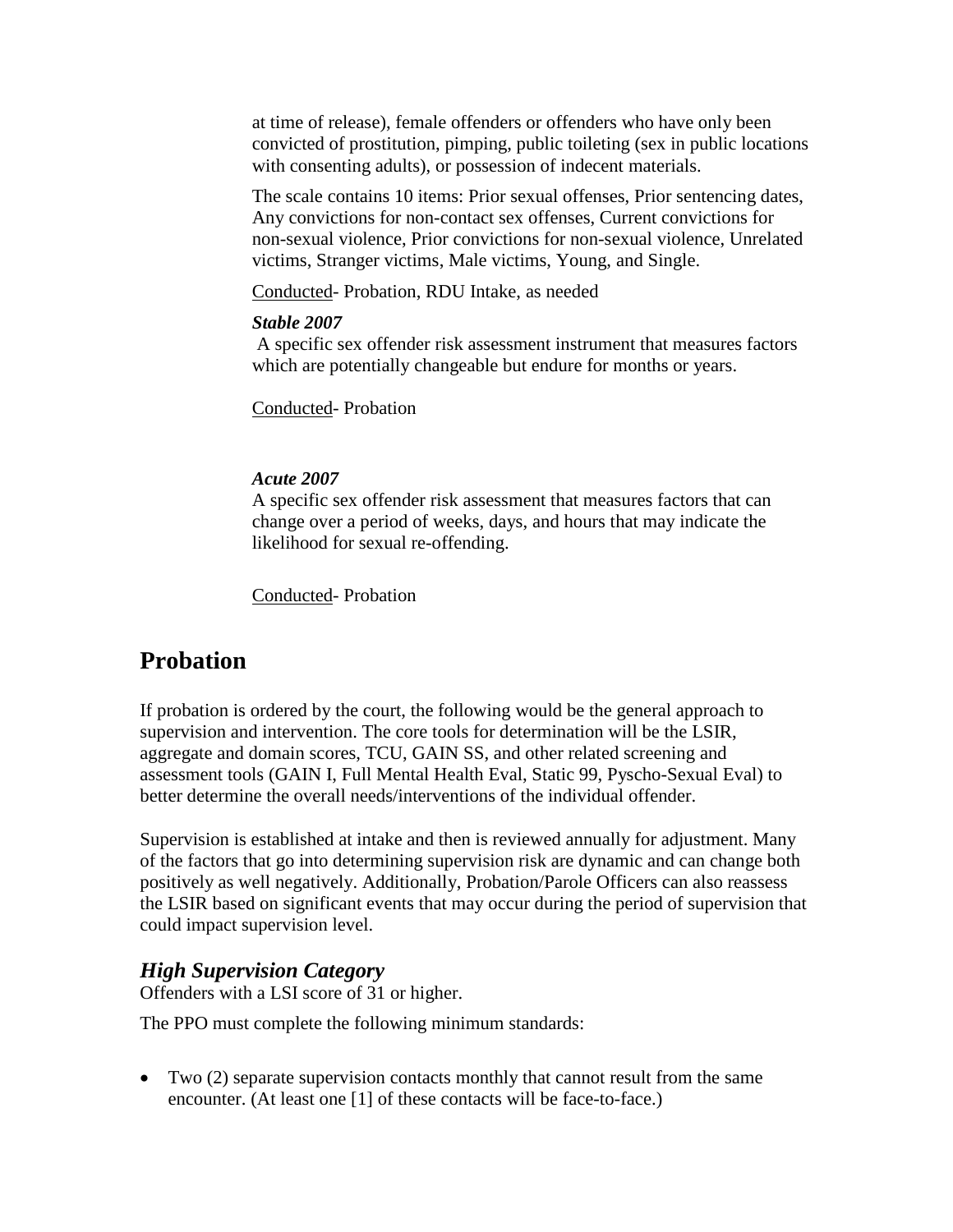at time of release), female offenders or offenders who have only been convicted of prostitution, pimping, public toileting (sex in public locations with consenting adults), or possession of indecent materials.

The scale contains 10 items: Prior sexual offenses, Prior sentencing dates, Any convictions for non-contact sex offenses, Current convictions for non-sexual violence, Prior convictions for non-sexual violence, Unrelated victims, Stranger victims, Male victims, Young, and Single.

Conducted- Probation, RDU Intake, as needed

## *Stable 2007*

A specific sex offender risk assessment instrument that measures factors which are potentially changeable but endure for months or years.

Conducted- Probation

## *Acute 2007*

A specific sex offender risk assessment that measures factors that can change over a period of weeks, days, and hours that may indicate the likelihood for sexual re-offending.

Conducted- Probation

# **Probation**

If probation is ordered by the court, the following would be the general approach to supervision and intervention. The core tools for determination will be the LSIR, aggregate and domain scores, TCU, GAIN SS, and other related screening and assessment tools (GAIN I, Full Mental Health Eval, Static 99, Pyscho-Sexual Eval) to better determine the overall needs/interventions of the individual offender.

Supervision is established at intake and then is reviewed annually for adjustment. Many of the factors that go into determining supervision risk are dynamic and can change both positively as well negatively. Additionally, Probation/Parole Officers can also reassess the LSIR based on significant events that may occur during the period of supervision that could impact supervision level.

## *High Supervision Category*

Offenders with a LSI score of 31 or higher.

The PPO must complete the following minimum standards:

• Two (2) separate supervision contacts monthly that cannot result from the same encounter. (At least one [1] of these contacts will be face-to-face.)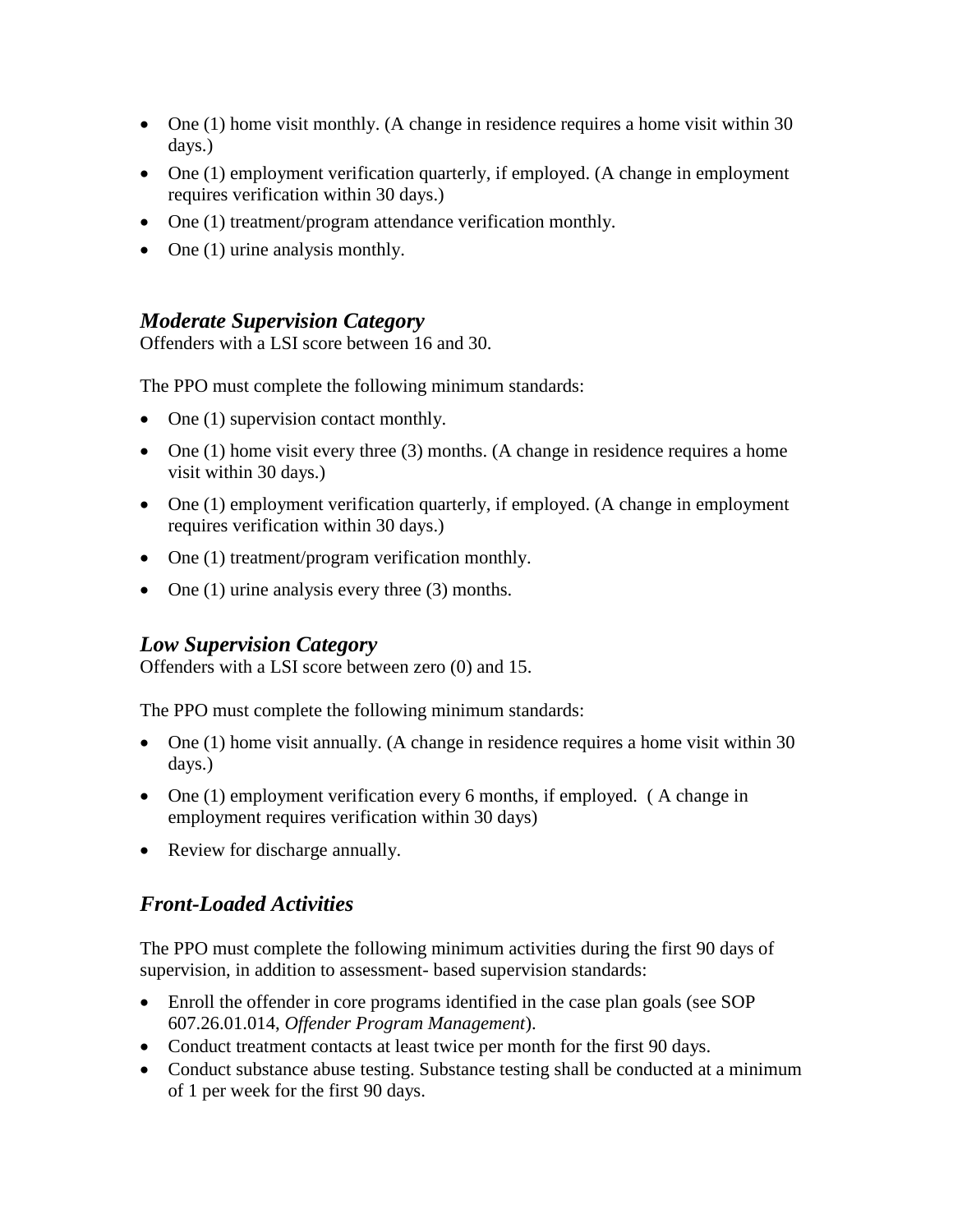- One (1) home visit monthly. (A change in residence requires a home visit within 30 days.)
- One (1) employment verification quarterly, if employed. (A change in employment requires verification within 30 days.)
- One (1) treatment/program attendance verification monthly.
- One (1) urine analysis monthly.

## *Moderate Supervision Category*

Offenders with a LSI score between 16 and 30.

The PPO must complete the following minimum standards:

- One (1) supervision contact monthly.
- One  $(1)$  home visit every three  $(3)$  months. (A change in residence requires a home visit within 30 days.)
- One (1) employment verification quarterly, if employed. (A change in employment requires verification within 30 days.)
- One (1) treatment/program verification monthly.
- One (1) urine analysis every three (3) months.

## *Low Supervision Category*

Offenders with a LSI score between zero (0) and 15.

The PPO must complete the following minimum standards:

- One (1) home visit annually. (A change in residence requires a home visit within 30 days.)
- One (1) employment verification every 6 months, if employed. (A change in employment requires verification within 30 days)
- Review for discharge annually.

## *Front-Loaded Activities*

The PPO must complete the following minimum activities during the first 90 days of supervision, in addition to assessment- based supervision standards:

- Enroll the offender in core programs identified in the case plan goals (see SOP 607.26.01.014, *Offender Program Management*).
- Conduct treatment contacts at least twice per month for the first 90 days.
- Conduct substance abuse testing. Substance testing shall be conducted at a minimum of 1 per week for the first 90 days.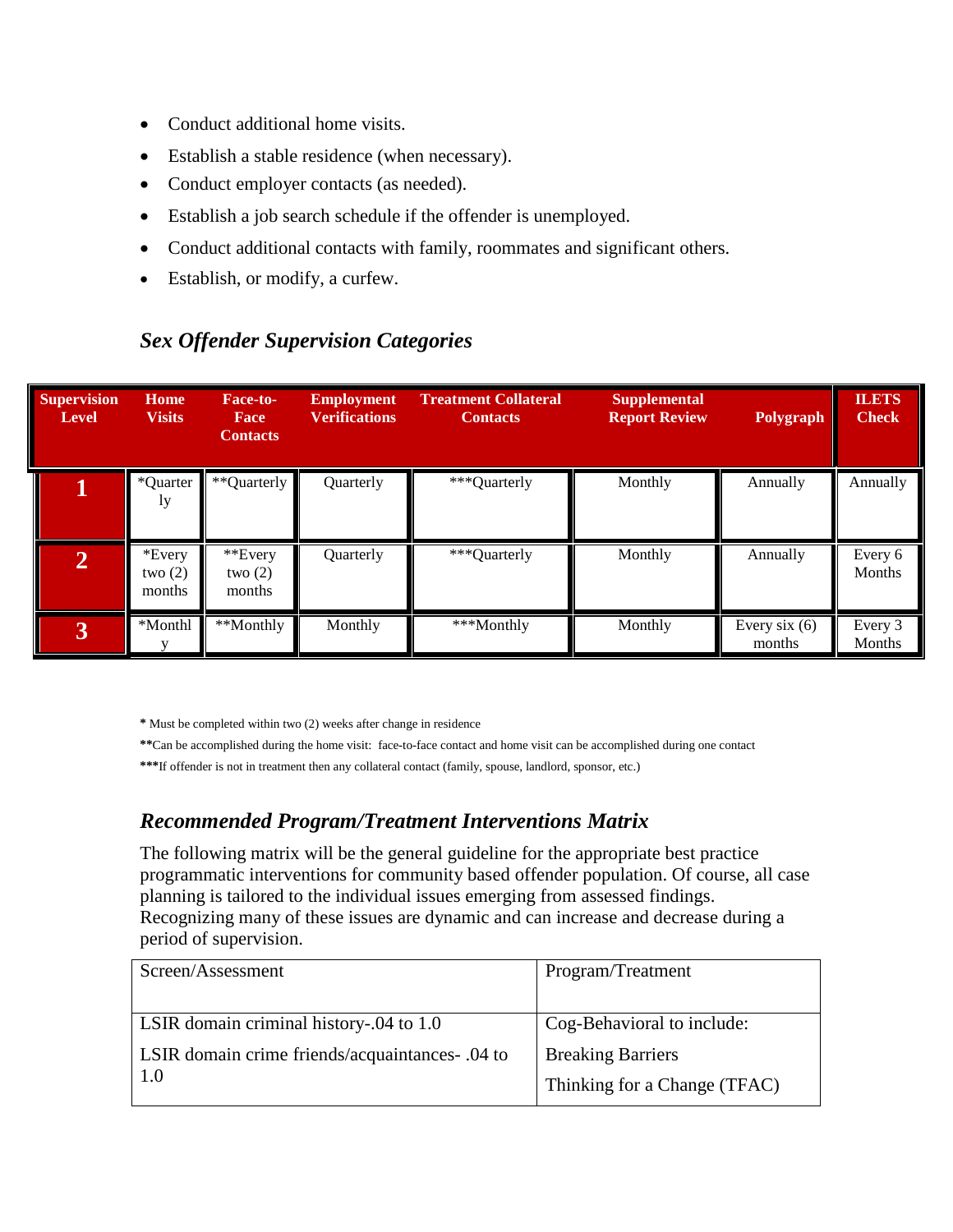- Conduct additional home visits.
- Establish a stable residence (when necessary).
- Conduct employer contacts (as needed).
- Establish a job search schedule if the offender is unemployed.
- Conduct additional contacts with family, roommates and significant others.
- Establish, or modify, a curfew.

| <b>Supervision</b><br>Level | Home<br><b>Visits</b>         | Face-to-<br>Face<br><b>Contacts</b> | <b>Employment</b><br><b>Verifications</b> | <b>Treatment Collateral</b><br><b>Contacts</b> | <b>Supplemental</b><br><b>Report Review</b> | Polygraph                 | <b>ILETS</b><br><b>Check</b> |
|-----------------------------|-------------------------------|-------------------------------------|-------------------------------------------|------------------------------------------------|---------------------------------------------|---------------------------|------------------------------|
|                             | *Quarter<br>1y                | **Quarterly                         | Quarterly                                 | ***Quarterly                                   | Monthly                                     | Annually                  | Annually                     |
| $\mathbf{2}$                | *Every<br>two $(2)$<br>months | **Every<br>two $(2)$<br>months      | Quarterly                                 | ***Quarterly                                   | Monthly                                     | Annually                  | Every 6<br>Months            |
| $\overline{3}$              | *Monthl                       | **Monthly                           | Monthly                                   | ***Monthly                                     | Monthly                                     | Every six $(6)$<br>months | Every 3<br>Months            |

## *Sex Offender Supervision Categories*

**\*** Must be completed within two (2) weeks after change in residence

**\*\***Can be accomplished during the home visit: face-to-face contact and home visit can be accomplished during one contact

**\*\*\***If offender is not in treatment then any collateral contact (family, spouse, landlord, sponsor, etc.)

## *Recommended Program/Treatment Interventions Matrix*

The following matrix will be the general guideline for the appropriate best practice programmatic interventions for community based offender population. Of course, all case planning is tailored to the individual issues emerging from assessed findings. Recognizing many of these issues are dynamic and can increase and decrease during a period of supervision.

| Screen/Assessment                                | Program/Treatment            |  |
|--------------------------------------------------|------------------------------|--|
|                                                  |                              |  |
| LSIR domain criminal history-.04 to 1.0          | Cog-Behavioral to include:   |  |
| LSIR domain crime friends/acquaintances - .04 to | <b>Breaking Barriers</b>     |  |
| 1.0                                              | Thinking for a Change (TFAC) |  |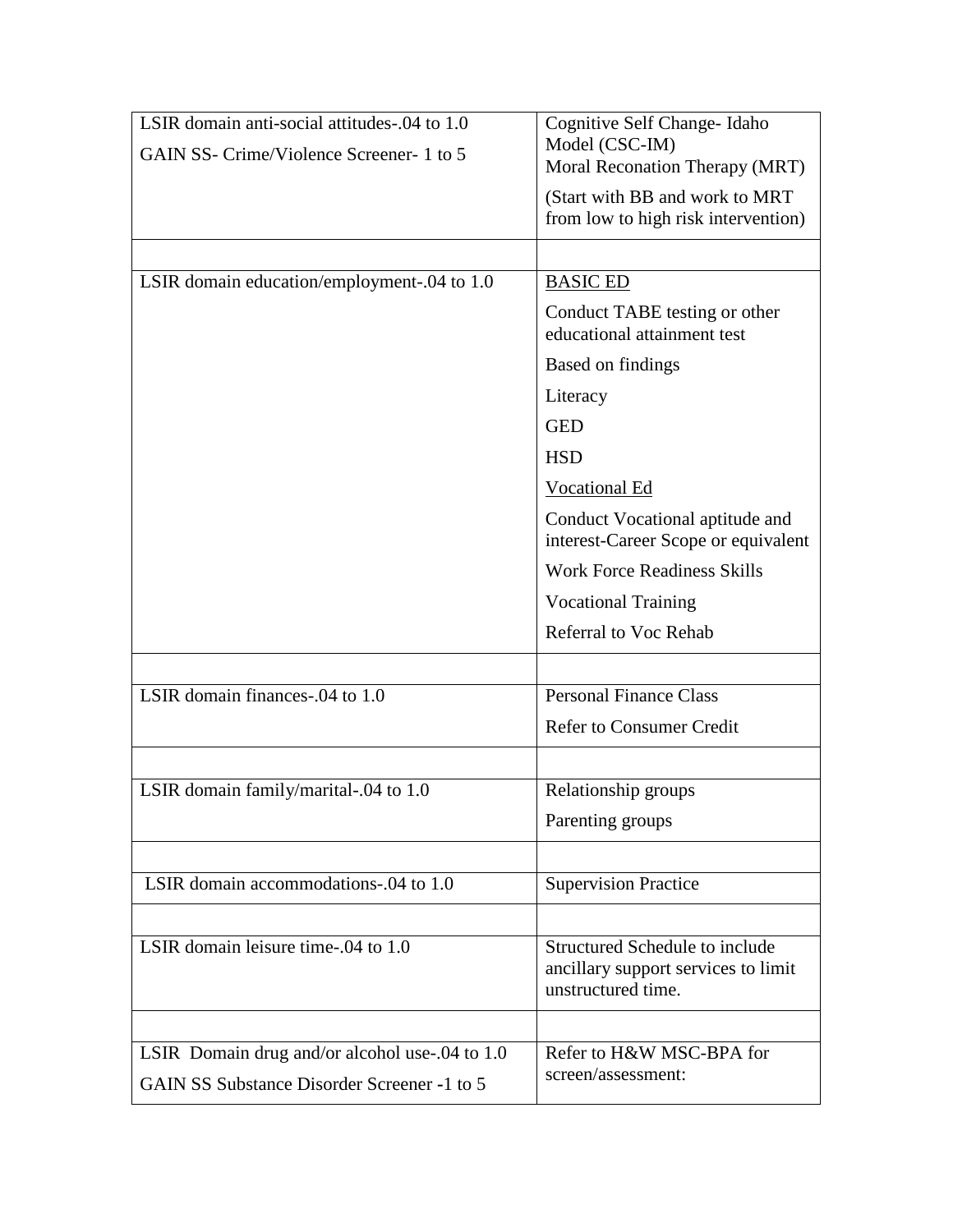| LSIR domain anti-social attitudes-.04 to 1.0   | Cognitive Self Change-Idaho                                                                 |
|------------------------------------------------|---------------------------------------------------------------------------------------------|
| GAIN SS- Crime/Violence Screener- 1 to 5       | Model (CSC-IM)                                                                              |
|                                                | Moral Reconation Therapy (MRT)                                                              |
|                                                | (Start with BB and work to MRT)<br>from low to high risk intervention)                      |
|                                                |                                                                                             |
|                                                |                                                                                             |
| LSIR domain education/employment-.04 to 1.0    | <b>BASIC ED</b>                                                                             |
|                                                | Conduct TABE testing or other<br>educational attainment test                                |
|                                                | Based on findings                                                                           |
|                                                | Literacy                                                                                    |
|                                                | <b>GED</b>                                                                                  |
|                                                | <b>HSD</b>                                                                                  |
|                                                | Vocational Ed                                                                               |
|                                                | Conduct Vocational aptitude and<br>interest-Career Scope or equivalent                      |
|                                                | <b>Work Force Readiness Skills</b>                                                          |
|                                                | <b>Vocational Training</b>                                                                  |
|                                                | Referral to Voc Rehab                                                                       |
|                                                |                                                                                             |
| LSIR domain finances-.04 to 1.0                | <b>Personal Finance Class</b>                                                               |
|                                                | <b>Refer to Consumer Credit</b>                                                             |
|                                                |                                                                                             |
|                                                |                                                                                             |
| LSIR domain family/marital-.04 to 1.0          | Relationship groups                                                                         |
|                                                | Parenting groups                                                                            |
|                                                |                                                                                             |
| LSIR domain accommodations-.04 to 1.0          | <b>Supervision Practice</b>                                                                 |
|                                                |                                                                                             |
| LSIR domain leisure time-.04 to 1.0            | Structured Schedule to include<br>ancillary support services to limit<br>unstructured time. |
|                                                |                                                                                             |
| LSIR Domain drug and/or alcohol use-.04 to 1.0 | Refer to H&W MSC-BPA for                                                                    |
| GAIN SS Substance Disorder Screener -1 to 5    | screen/assessment:                                                                          |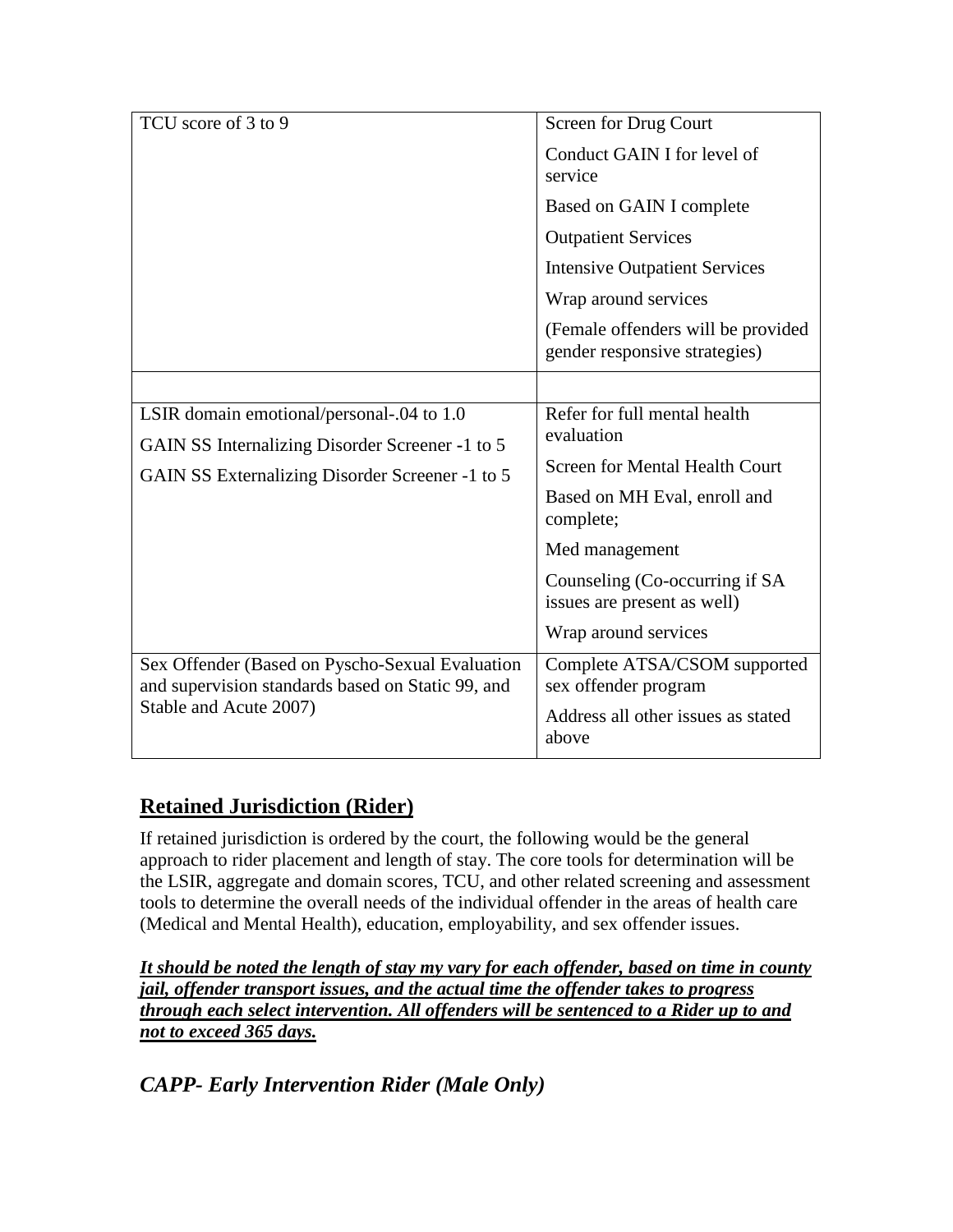| TCU score of 3 to 9                                                                                  | Screen for Drug Court                                               |
|------------------------------------------------------------------------------------------------------|---------------------------------------------------------------------|
|                                                                                                      | Conduct GAIN I for level of<br>service                              |
|                                                                                                      | Based on GAIN I complete                                            |
|                                                                                                      | <b>Outpatient Services</b>                                          |
|                                                                                                      | <b>Intensive Outpatient Services</b>                                |
|                                                                                                      | Wrap around services                                                |
|                                                                                                      | (Female offenders will be provided<br>gender responsive strategies) |
|                                                                                                      |                                                                     |
| LSIR domain emotional/personal-.04 to 1.0<br>GAIN SS Internalizing Disorder Screener -1 to 5         | Refer for full mental health<br>evaluation                          |
| GAIN SS Externalizing Disorder Screener -1 to 5                                                      | <b>Screen for Mental Health Court</b>                               |
|                                                                                                      | Based on MH Eval, enroll and<br>complete;                           |
|                                                                                                      | Med management                                                      |
|                                                                                                      | Counseling (Co-occurring if SA<br>issues are present as well)       |
|                                                                                                      | Wrap around services                                                |
| Sex Offender (Based on Pyscho-Sexual Evaluation<br>and supervision standards based on Static 99, and | Complete ATSA/CSOM supported<br>sex offender program                |
| Stable and Acute 2007)                                                                               | Address all other issues as stated<br>above                         |

## **Retained Jurisdiction (Rider)**

If retained jurisdiction is ordered by the court, the following would be the general approach to rider placement and length of stay. The core tools for determination will be the LSIR, aggregate and domain scores, TCU, and other related screening and assessment tools to determine the overall needs of the individual offender in the areas of health care (Medical and Mental Health), education, employability, and sex offender issues.

*It should be noted the length of stay my vary for each offender, based on time in county jail, offender transport issues, and the actual time the offender takes to progress through each select intervention. All offenders will be sentenced to a Rider up to and not to exceed 365 days.*

*CAPP- Early Intervention Rider (Male Only)*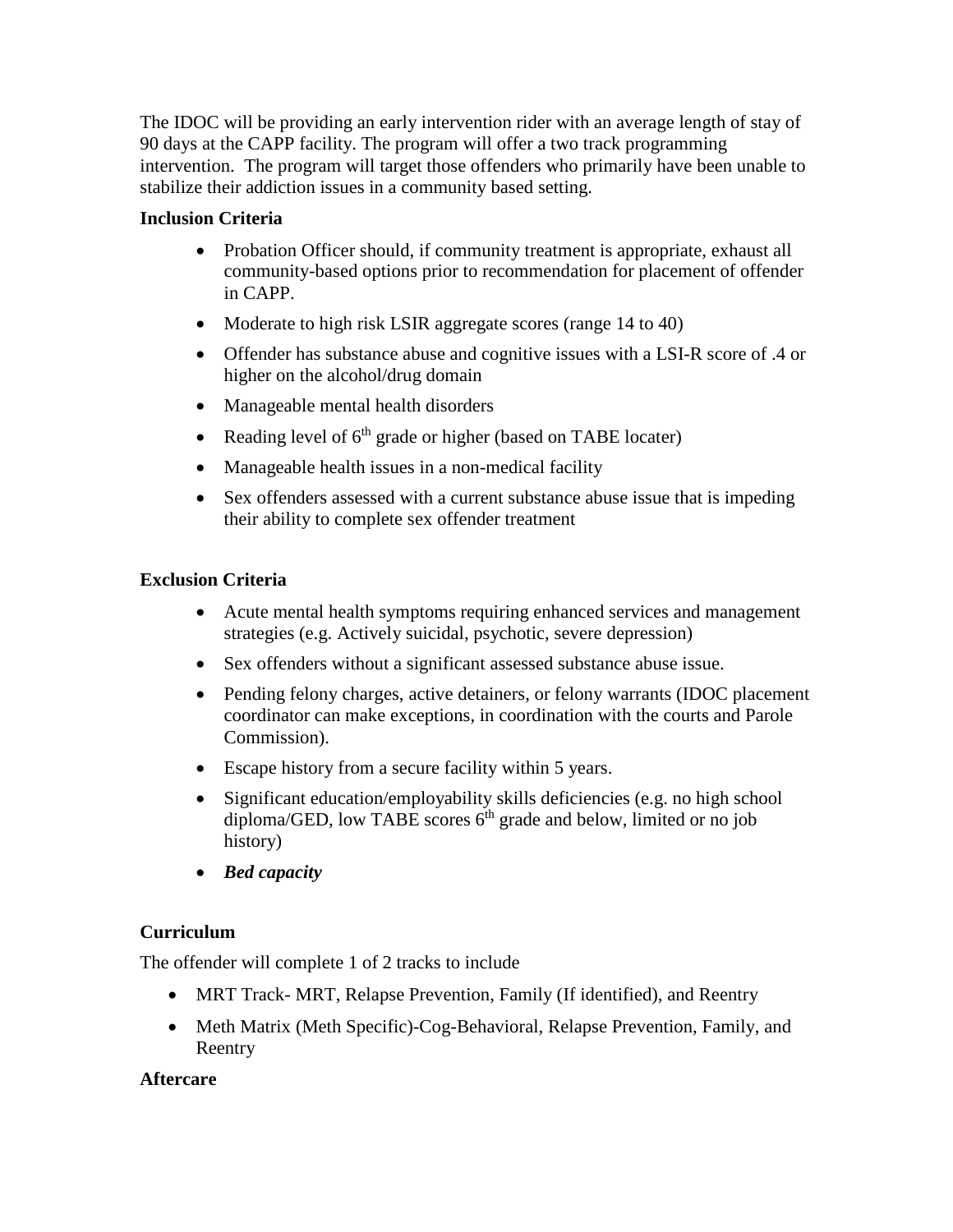The IDOC will be providing an early intervention rider with an average length of stay of 90 days at the CAPP facility. The program will offer a two track programming intervention. The program will target those offenders who primarily have been unable to stabilize their addiction issues in a community based setting.

## **Inclusion Criteria**

- Probation Officer should, if community treatment is appropriate, exhaust all community-based options prior to recommendation for placement of offender in CAPP.
- Moderate to high risk LSIR aggregate scores (range 14 to 40)
- Offender has substance abuse and cognitive issues with a LSI-R score of .4 or higher on the alcohol/drug domain
- Manageable mental health disorders
- Reading level of  $6<sup>th</sup>$  grade or higher (based on TABE locater)
- Manageable health issues in a non-medical facility
- Sex offenders assessed with a current substance abuse issue that is impeding their ability to complete sex offender treatment

## **Exclusion Criteria**

- Acute mental health symptoms requiring enhanced services and management strategies (e.g. Actively suicidal, psychotic, severe depression)
- Sex offenders without a significant assessed substance abuse issue.
- Pending felony charges, active detainers, or felony warrants (IDOC placement) coordinator can make exceptions, in coordination with the courts and Parole Commission).
- Escape history from a secure facility within 5 years.
- Significant education/employability skills deficiencies (e.g. no high school  $diploma/GED$ , low TABE scores  $6<sup>th</sup>$  grade and below, limited or no job history)
- *Bed capacity*

## **Curriculum**

The offender will complete 1 of 2 tracks to include

- MRT Track- MRT, Relapse Prevention, Family (If identified), and Reentry
- Meth Matrix (Meth Specific)-Cog-Behavioral, Relapse Prevention, Family, and Reentry

## **Aftercare**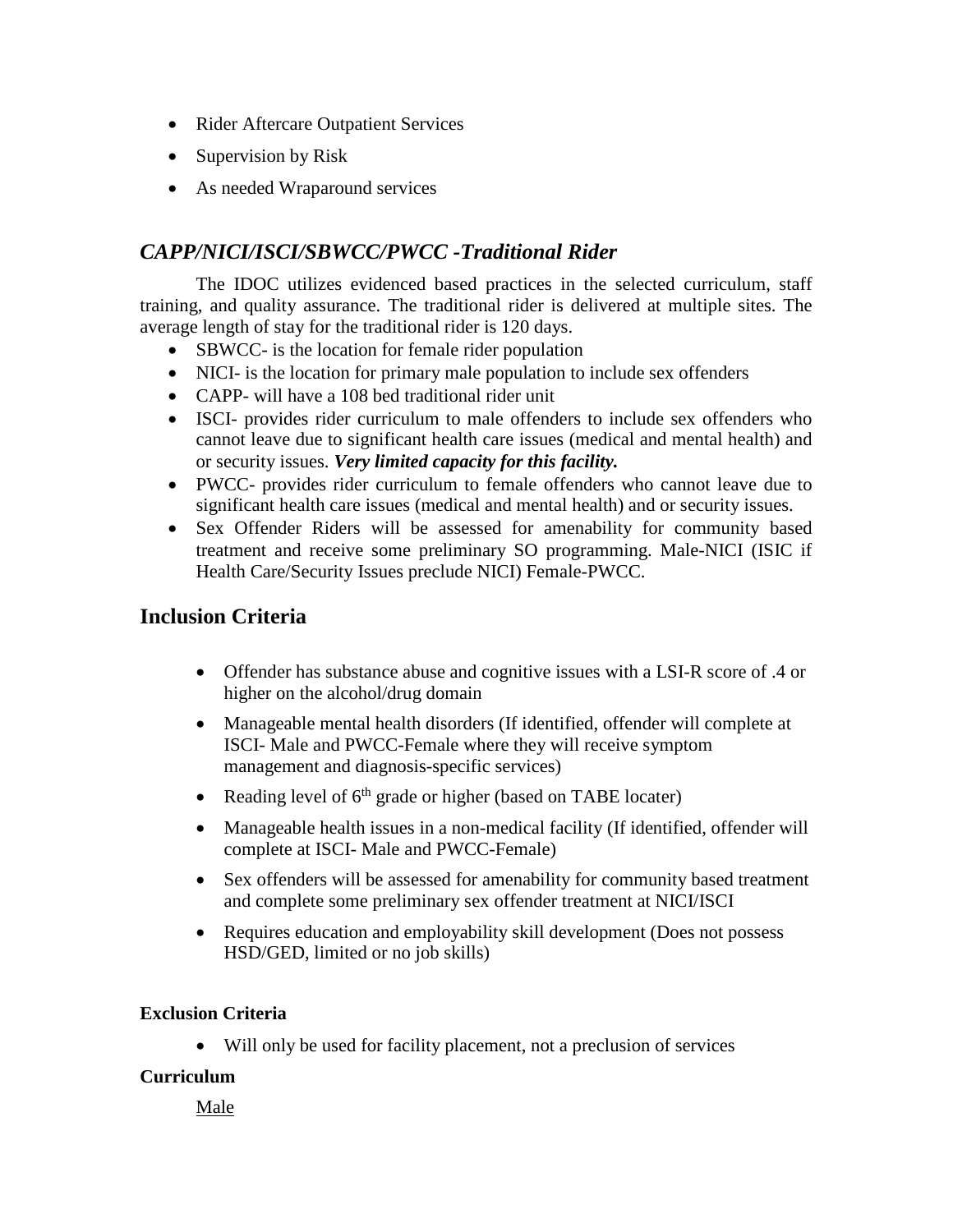- Rider Aftercare Outpatient Services
- Supervision by Risk
- As needed Wraparound services

## *CAPP/NICI/ISCI/SBWCC/PWCC -Traditional Rider*

The IDOC utilizes evidenced based practices in the selected curriculum, staff training, and quality assurance. The traditional rider is delivered at multiple sites. The average length of stay for the traditional rider is 120 days.

- SBWCC- is the location for female rider population
- NICI- is the location for primary male population to include sex offenders
- CAPP- will have a 108 bed traditional rider unit
- ISCI- provides rider curriculum to male offenders to include sex offenders who cannot leave due to significant health care issues (medical and mental health) and or security issues. *Very limited capacity for this facility.*
- PWCC- provides rider curriculum to female offenders who cannot leave due to significant health care issues (medical and mental health) and or security issues.
- Sex Offender Riders will be assessed for amenability for community based treatment and receive some preliminary SO programming. Male-NICI (ISIC if Health Care/Security Issues preclude NICI) Female-PWCC.

## **Inclusion Criteria**

- Offender has substance abuse and cognitive issues with a LSI-R score of .4 or higher on the alcohol/drug domain
- Manageable mental health disorders (If identified, offender will complete at ISCI- Male and PWCC-Female where they will receive symptom management and diagnosis-specific services)
- Reading level of  $6<sup>th</sup>$  grade or higher (based on TABE locater)
- Manageable health issues in a non-medical facility (If identified, offender will complete at ISCI- Male and PWCC-Female)
- Sex offenders will be assessed for amenability for community based treatment and complete some preliminary sex offender treatment at NICI/ISCI
- Requires education and employability skill development (Does not possess HSD/GED, limited or no job skills)

## **Exclusion Criteria**

• Will only be used for facility placement, not a preclusion of services

## **Curriculum**

Male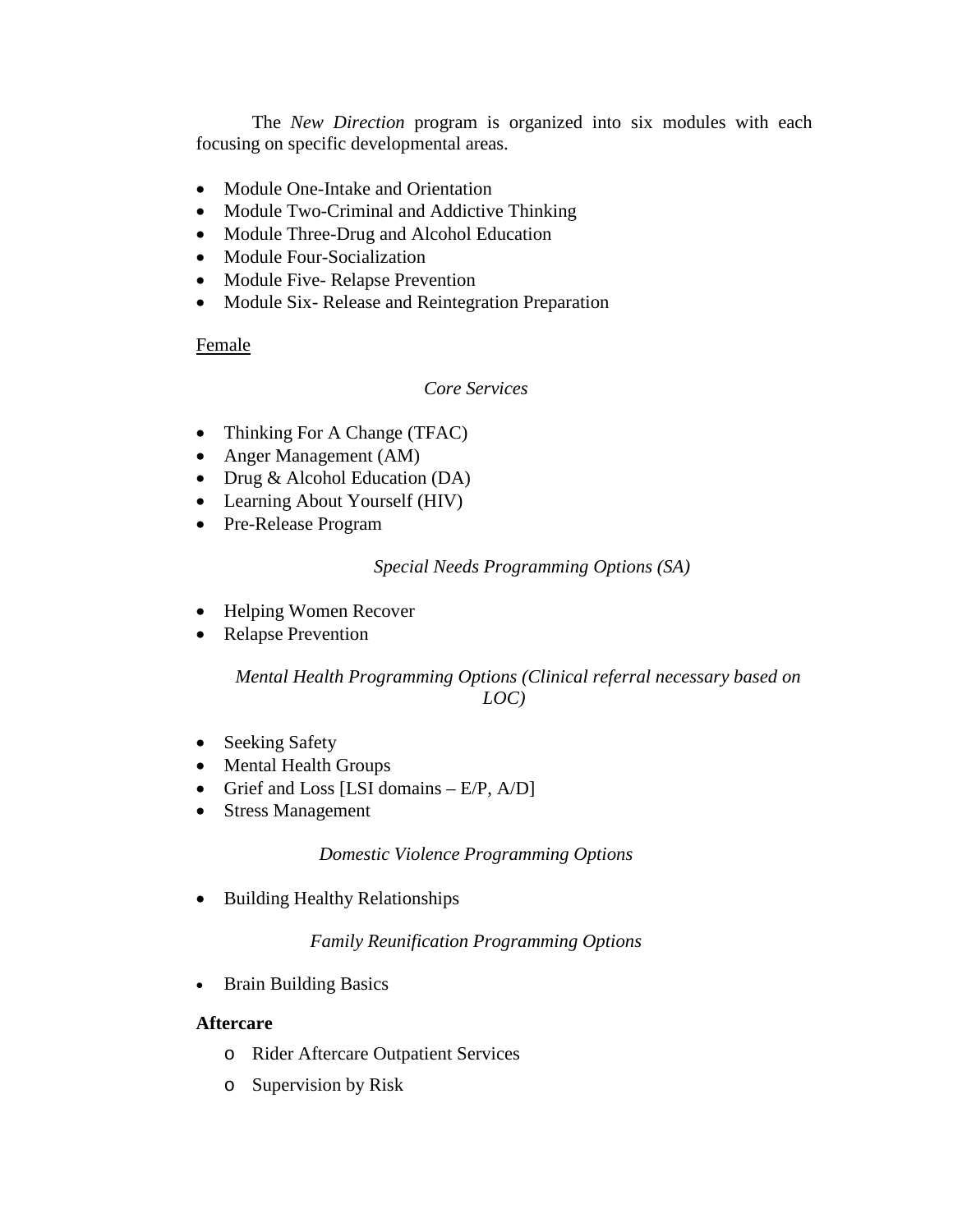The *New Direction* program is organized into six modules with each focusing on specific developmental areas.

- Module One-Intake and Orientation
- Module Two-Criminal and Addictive Thinking
- Module Three-Drug and Alcohol Education
- Module Four-Socialization
- Module Five-Relapse Prevention
- Module Six- Release and Reintegration Preparation

## Female

## *Core Services*

- Thinking For A Change (TFAC)
- Anger Management (AM)
- Drug & Alcohol Education (DA)
- Learning About Yourself (HIV)
- Pre-Release Program

## *Special Needs Programming Options (SA)*

- Helping Women Recover
- Relapse Prevention

## *Mental Health Programming Options (Clinical referral necessary based on LOC)*

- Seeking Safety
- Mental Health Groups
- Grief and Loss [LSI domains  $E/P$ ,  $A/D$ ]
- Stress Management

## *Domestic Violence Programming Options*

• Building Healthy Relationships

## *Family Reunification Programming Options*

• Brain Building Basics

## **Aftercare**

- o Rider Aftercare Outpatient Services
- o Supervision by Risk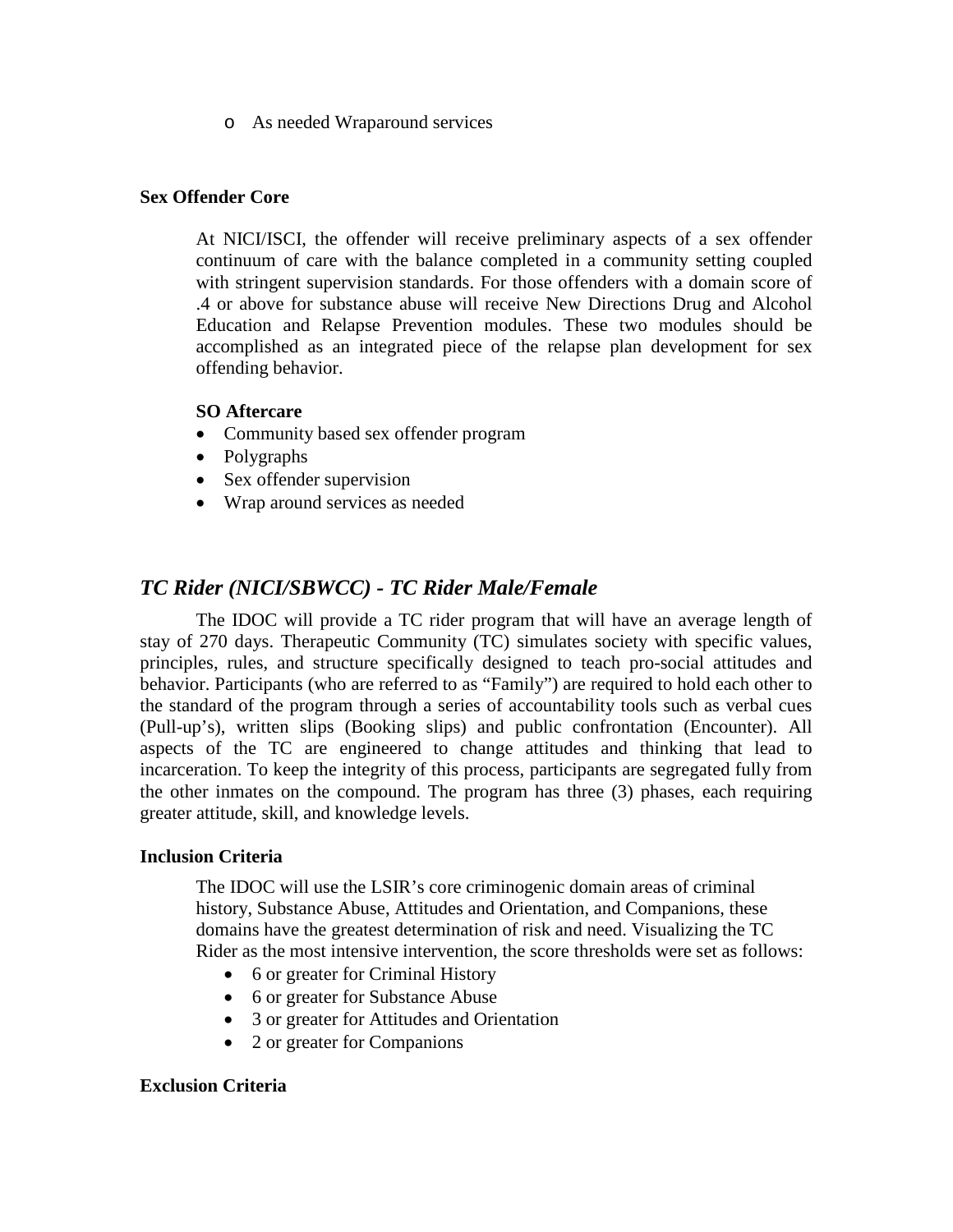o As needed Wraparound services

#### **Sex Offender Core**

At NICI/ISCI, the offender will receive preliminary aspects of a sex offender continuum of care with the balance completed in a community setting coupled with stringent supervision standards. For those offenders with a domain score of .4 or above for substance abuse will receive New Directions Drug and Alcohol Education and Relapse Prevention modules. These two modules should be accomplished as an integrated piece of the relapse plan development for sex offending behavior.

#### **SO Aftercare**

- Community based sex offender program
- Polygraphs
- Sex offender supervision
- Wrap around services as needed

## *TC Rider (NICI/SBWCC) - TC Rider Male/Female*

The IDOC will provide a TC rider program that will have an average length of stay of 270 days. Therapeutic Community (TC) simulates society with specific values, principles, rules, and structure specifically designed to teach pro-social attitudes and behavior. Participants (who are referred to as "Family") are required to hold each other to the standard of the program through a series of accountability tools such as verbal cues (Pull-up's), written slips (Booking slips) and public confrontation (Encounter). All aspects of the TC are engineered to change attitudes and thinking that lead to incarceration. To keep the integrity of this process, participants are segregated fully from the other inmates on the compound. The program has three (3) phases, each requiring greater attitude, skill, and knowledge levels.

#### **Inclusion Criteria**

The IDOC will use the LSIR's core criminogenic domain areas of criminal history, Substance Abuse, Attitudes and Orientation, and Companions, these domains have the greatest determination of risk and need. Visualizing the TC Rider as the most intensive intervention, the score thresholds were set as follows:

- 6 or greater for Criminal History
- 6 or greater for Substance Abuse
- 3 or greater for Attitudes and Orientation
- 2 or greater for Companions

#### **Exclusion Criteria**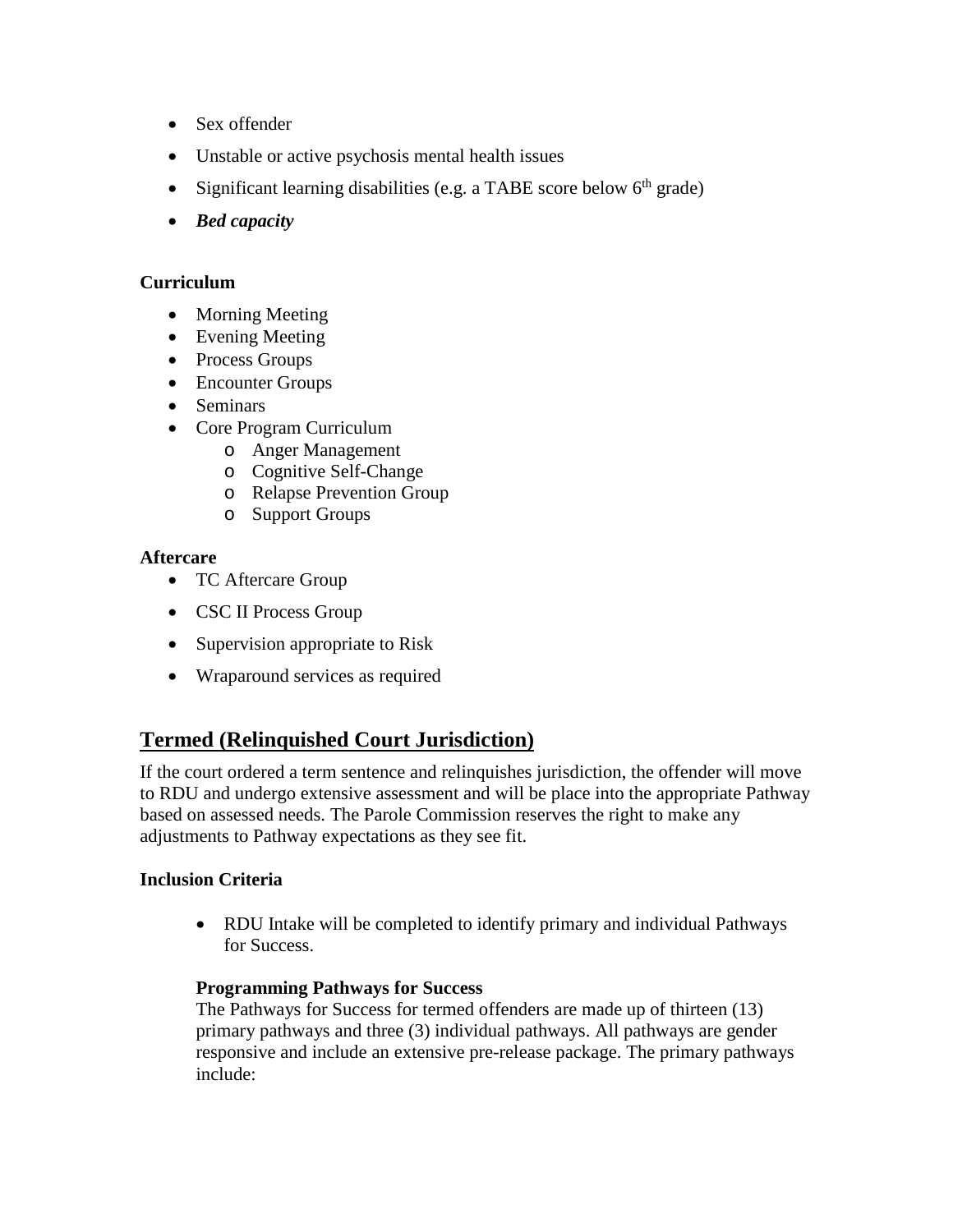- Sex offender
- Unstable or active psychosis mental health issues
- Significant learning disabilities (e.g. a TABE score below  $6<sup>th</sup>$  grade)
- *Bed capacity*

#### **Curriculum**

- Morning Meeting
- Evening Meeting
- Process Groups
- Encounter Groups
- Seminars
- Core Program Curriculum
	- o Anger Management
	- o Cognitive Self-Change
	- o Relapse Prevention Group
	- o Support Groups

#### **Aftercare**

- TC Aftercare Group
- CSC II Process Group
- Supervision appropriate to Risk
- Wraparound services as required

## **Termed (Relinquished Court Jurisdiction)**

If the court ordered a term sentence and relinquishes jurisdiction, the offender will move to RDU and undergo extensive assessment and will be place into the appropriate Pathway based on assessed needs. The Parole Commission reserves the right to make any adjustments to Pathway expectations as they see fit.

## **Inclusion Criteria**

• RDU Intake will be completed to identify primary and individual Pathways for Success.

## **Programming Pathways for Success**

The Pathways for Success for termed offenders are made up of thirteen (13) primary pathways and three (3) individual pathways. All pathways are gender responsive and include an extensive pre-release package. The primary pathways include: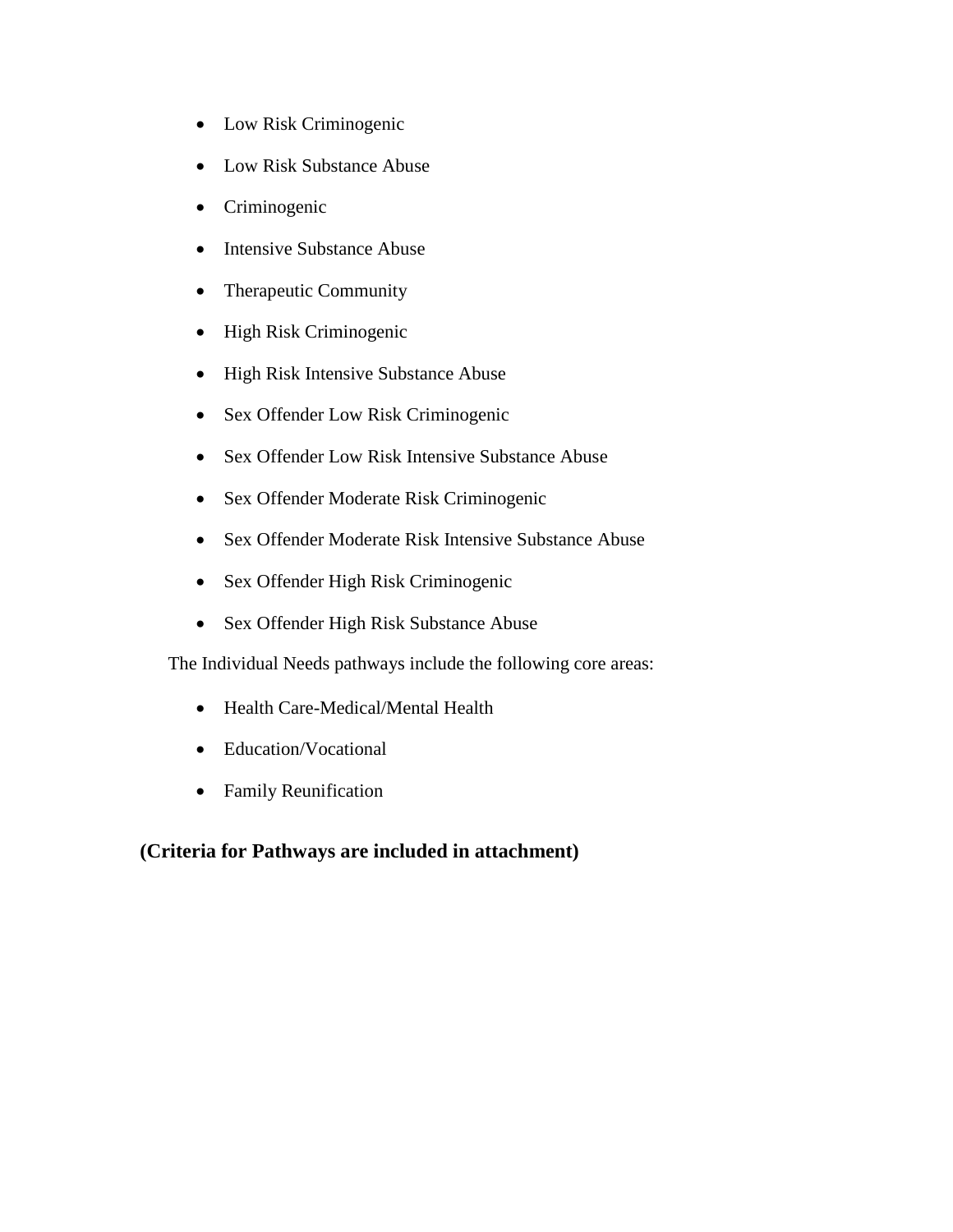- Low Risk Criminogenic
- Low Risk Substance Abuse
- Criminogenic
- Intensive Substance Abuse
- Therapeutic Community
- High Risk Criminogenic
- High Risk Intensive Substance Abuse
- Sex Offender Low Risk Criminogenic
- Sex Offender Low Risk Intensive Substance Abuse
- Sex Offender Moderate Risk Criminogenic
- Sex Offender Moderate Risk Intensive Substance Abuse
- Sex Offender High Risk Criminogenic
- Sex Offender High Risk Substance Abuse

The Individual Needs pathways include the following core areas:

- Health Care-Medical/Mental Health
- Education/Vocational
- Family Reunification

## **(Criteria for Pathways are included in attachment)**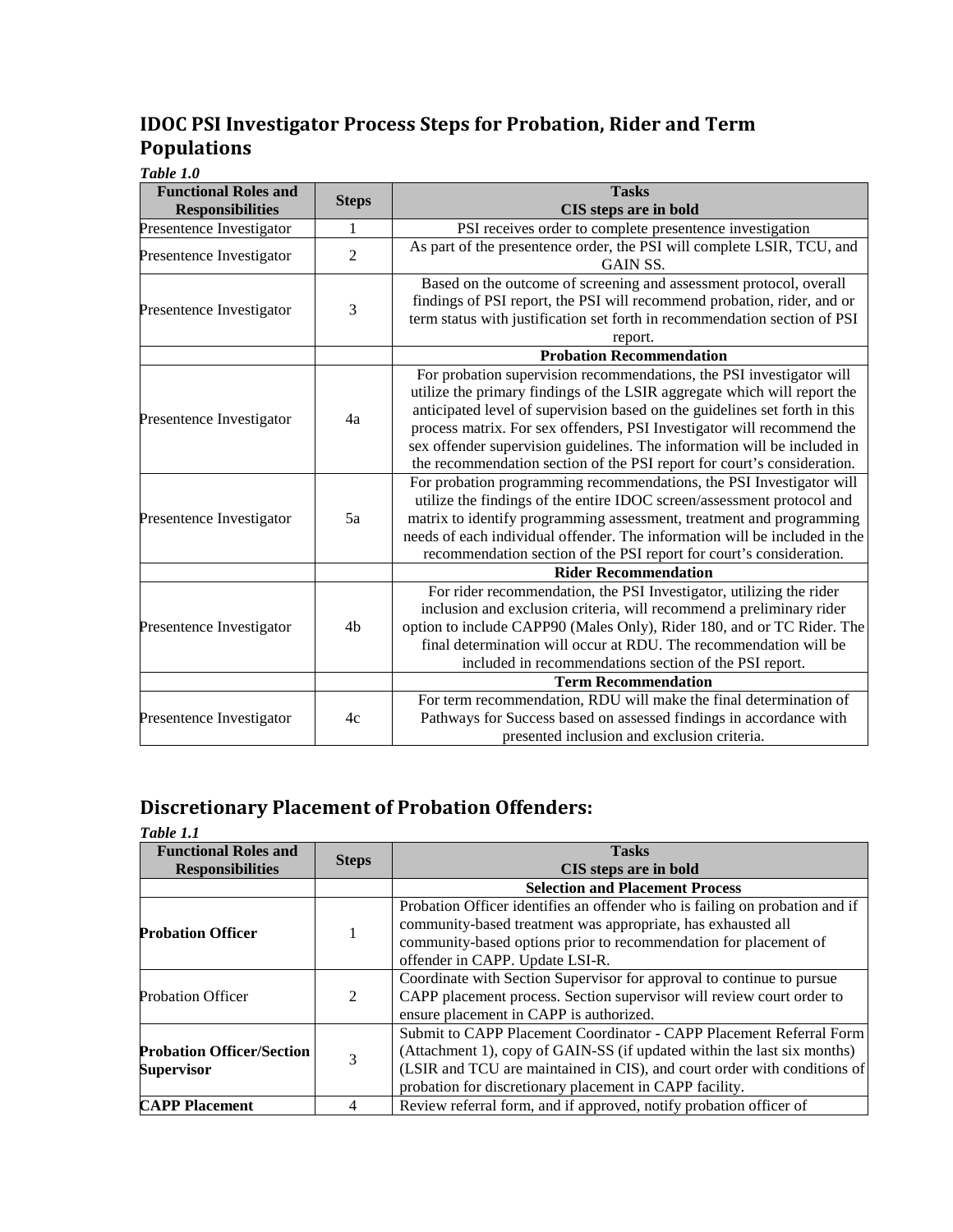# **IDOC PSI Investigator Process Steps for Probation, Rider and Term Populations**

*Table 1.0*

| <b>Functional Roles and</b> | <b>Steps</b>   | <b>Tasks</b>                                                               |
|-----------------------------|----------------|----------------------------------------------------------------------------|
| <b>Responsibilities</b>     |                | CIS steps are in bold                                                      |
| Presentence Investigator    | 1              | PSI receives order to complete presentence investigation                   |
| Presentence Investigator    | $\overline{2}$ | As part of the presentence order, the PSI will complete LSIR, TCU, and     |
|                             |                | GAIN SS.                                                                   |
|                             |                | Based on the outcome of screening and assessment protocol, overall         |
| Presentence Investigator    | 3              | findings of PSI report, the PSI will recommend probation, rider, and or    |
|                             |                | term status with justification set forth in recommendation section of PSI  |
|                             |                | report.                                                                    |
|                             |                | <b>Probation Recommendation</b>                                            |
|                             |                | For probation supervision recommendations, the PSI investigator will       |
|                             |                | utilize the primary findings of the LSIR aggregate which will report the   |
| Presentence Investigator    | 4a             | anticipated level of supervision based on the guidelines set forth in this |
|                             |                | process matrix. For sex offenders, PSI Investigator will recommend the     |
|                             |                | sex offender supervision guidelines. The information will be included in   |
|                             |                | the recommendation section of the PSI report for court's consideration.    |
|                             |                | For probation programming recommendations, the PSI Investigator will       |
|                             |                | utilize the findings of the entire IDOC screen/assessment protocol and     |
| Presentence Investigator    | 5a             | matrix to identify programming assessment, treatment and programming       |
|                             |                | needs of each individual offender. The information will be included in the |
|                             |                | recommendation section of the PSI report for court's consideration.        |
|                             |                | <b>Rider Recommendation</b>                                                |
|                             |                | For rider recommendation, the PSI Investigator, utilizing the rider        |
|                             |                | inclusion and exclusion criteria, will recommend a preliminary rider       |
| Presentence Investigator    | 4b             | option to include CAPP90 (Males Only), Rider 180, and or TC Rider. The     |
|                             |                | final determination will occur at RDU. The recommendation will be          |
|                             |                | included in recommendations section of the PSI report.                     |
|                             |                | <b>Term Recommendation</b>                                                 |
|                             |                | For term recommendation, RDU will make the final determination of          |
| Presentence Investigator    | 4c             | Pathways for Success based on assessed findings in accordance with         |
|                             |                | presented inclusion and exclusion criteria.                                |

# **Discretionary Placement of Probation Offenders:**

| Table 1.1                        |              |                                                                             |  |
|----------------------------------|--------------|-----------------------------------------------------------------------------|--|
| <b>Functional Roles and</b>      | <b>Steps</b> | <b>Tasks</b>                                                                |  |
| <b>Responsibilities</b>          |              | CIS steps are in bold                                                       |  |
|                                  |              | <b>Selection and Placement Process</b>                                      |  |
|                                  |              | Probation Officer identifies an offender who is failing on probation and if |  |
| <b>Probation Officer</b>         |              | community-based treatment was appropriate, has exhausted all                |  |
|                                  |              | community-based options prior to recommendation for placement of            |  |
|                                  |              | offender in CAPP. Update LSI-R.                                             |  |
|                                  |              | Coordinate with Section Supervisor for approval to continue to pursue       |  |
| <b>Probation Officer</b>         | 2            | CAPP placement process. Section supervisor will review court order to       |  |
|                                  |              | ensure placement in CAPP is authorized.                                     |  |
|                                  |              | Submit to CAPP Placement Coordinator - CAPP Placement Referral Form         |  |
| <b>Probation Officer/Section</b> | 3            | (Attachment 1), copy of GAIN-SS (if updated within the last six months)     |  |
| Supervisor                       |              | (LSIR and TCU are maintained in CIS), and court order with conditions of    |  |
|                                  |              | probation for discretionary placement in CAPP facility.                     |  |
| <b>CAPP Placement</b>            | 4            | Review referral form, and if approved, notify probation officer of          |  |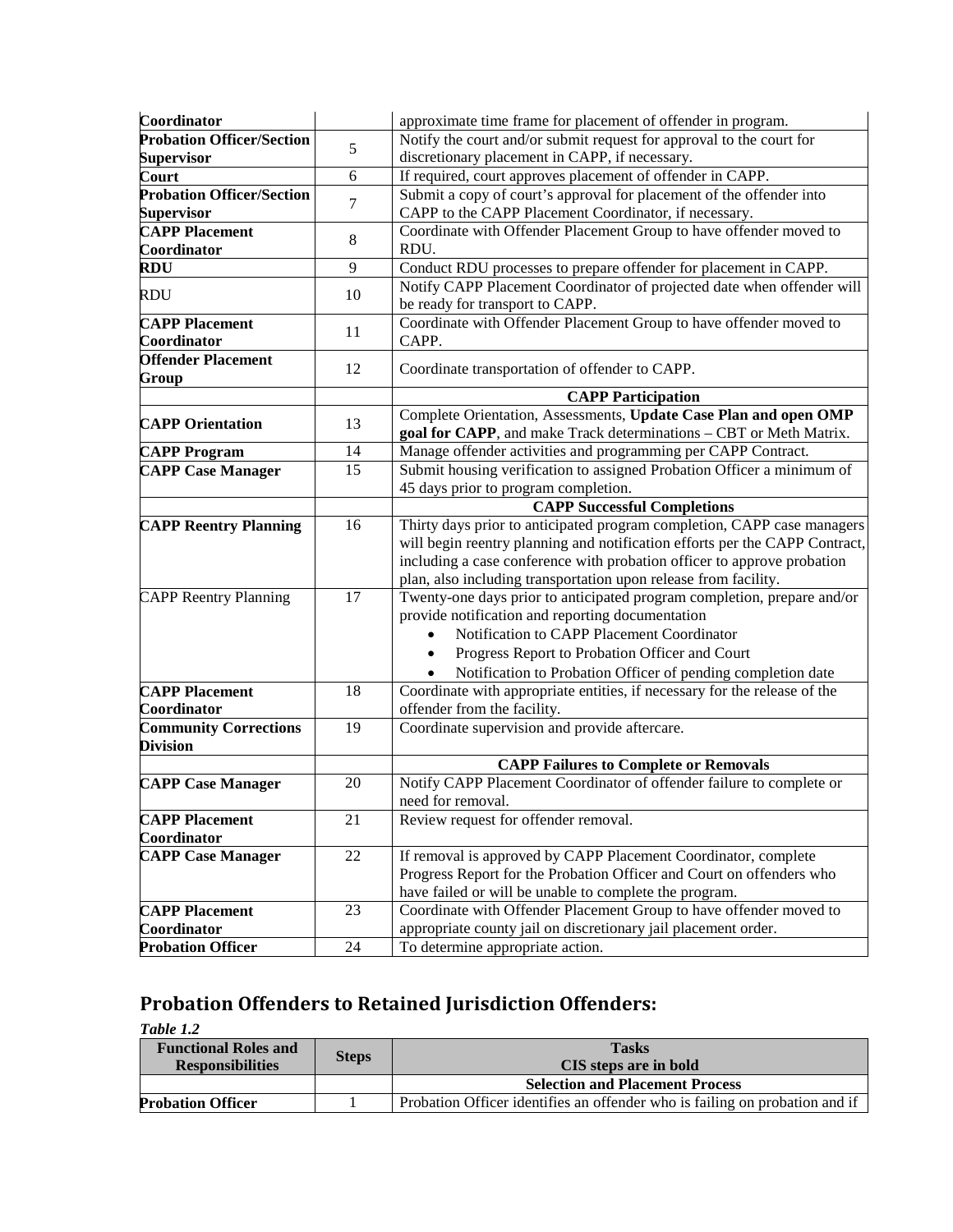| Coordinator                        |    | approximate time frame for placement of offender in program.                |
|------------------------------------|----|-----------------------------------------------------------------------------|
| <b>Probation Officer/Section</b>   |    | Notify the court and/or submit request for approval to the court for        |
| <b>Supervisor</b>                  | 5  | discretionary placement in CAPP, if necessary.                              |
| Court                              | 6  | If required, court approves placement of offender in CAPP.                  |
| <b>Probation Officer/Section</b>   |    | Submit a copy of court's approval for placement of the offender into        |
| <b>Supervisor</b>                  | 7  | CAPP to the CAPP Placement Coordinator, if necessary.                       |
| <b>CAPP Placement</b>              |    | Coordinate with Offender Placement Group to have offender moved to          |
| Coordinator                        | 8  | RDU.                                                                        |
| <b>RDU</b>                         | 9  | Conduct RDU processes to prepare offender for placement in CAPP.            |
| <b>RDU</b>                         | 10 | Notify CAPP Placement Coordinator of projected date when offender will      |
|                                    |    | be ready for transport to CAPP.                                             |
| <b>CAPP Placement</b>              | 11 | Coordinate with Offender Placement Group to have offender moved to          |
| Coordinator                        |    | CAPP.                                                                       |
| <b>Offender Placement</b><br>Group | 12 | Coordinate transportation of offender to CAPP.                              |
|                                    |    | <b>CAPP Participation</b>                                                   |
| <b>CAPP Orientation</b>            | 13 | Complete Orientation, Assessments, Update Case Plan and open OMP            |
|                                    |    | goal for CAPP, and make Track determinations - CBT or Meth Matrix.          |
| <b>CAPP Program</b>                | 14 | Manage offender activities and programming per CAPP Contract.               |
| <b>CAPP Case Manager</b>           | 15 | Submit housing verification to assigned Probation Officer a minimum of      |
|                                    |    | 45 days prior to program completion.                                        |
|                                    |    | <b>CAPP Successful Completions</b>                                          |
| <b>CAPP Reentry Planning</b>       | 16 | Thirty days prior to anticipated program completion, CAPP case managers     |
|                                    |    | will begin reentry planning and notification efforts per the CAPP Contract, |
|                                    |    | including a case conference with probation officer to approve probation     |
|                                    |    | plan, also including transportation upon release from facility.             |
| <b>CAPP Reentry Planning</b>       | 17 | Twenty-one days prior to anticipated program completion, prepare and/or     |
|                                    |    | provide notification and reporting documentation                            |
|                                    |    | Notification to CAPP Placement Coordinator                                  |
|                                    |    | Progress Report to Probation Officer and Court                              |
|                                    |    | Notification to Probation Officer of pending completion date                |
| <b>CAPP Placement</b>              | 18 | Coordinate with appropriate entities, if necessary for the release of the   |
| Coordinator                        |    | offender from the facility.                                                 |
| <b>Community Corrections</b>       | 19 | Coordinate supervision and provide aftercare.                               |
| <b>Division</b>                    |    |                                                                             |
|                                    |    | <b>CAPP Failures to Complete or Removals</b>                                |
| <b>CAPP Case Manager</b>           | 20 | Notify CAPP Placement Coordinator of offender failure to complete or        |
|                                    |    | need for removal.                                                           |
| <b>CAPP Placement</b>              | 21 | Review request for offender removal.                                        |
| Coordinator                        |    |                                                                             |
| <b>CAPP Case Manager</b>           | 22 | If removal is approved by CAPP Placement Coordinator, complete              |
|                                    |    | Progress Report for the Probation Officer and Court on offenders who        |
|                                    |    | have failed or will be unable to complete the program.                      |
| <b>CAPP Placement</b>              | 23 | Coordinate with Offender Placement Group to have offender moved to          |
| Coordinator                        |    | appropriate county jail on discretionary jail placement order.              |
| <b>Probation Officer</b>           | 24 | To determine appropriate action.                                            |

# **Probation Offenders to Retained Jurisdiction Offenders:**

*Table 1.2*

| <b>Functional Roles and</b><br><b>Responsibilities</b> | <b>Steps</b> | <b>Tasks</b><br><b>CIS</b> steps are in bold                                |
|--------------------------------------------------------|--------------|-----------------------------------------------------------------------------|
|                                                        |              | <b>Selection and Placement Process</b>                                      |
| <b>Probation Officer</b>                               |              | Probation Officer identifies an offender who is failing on probation and if |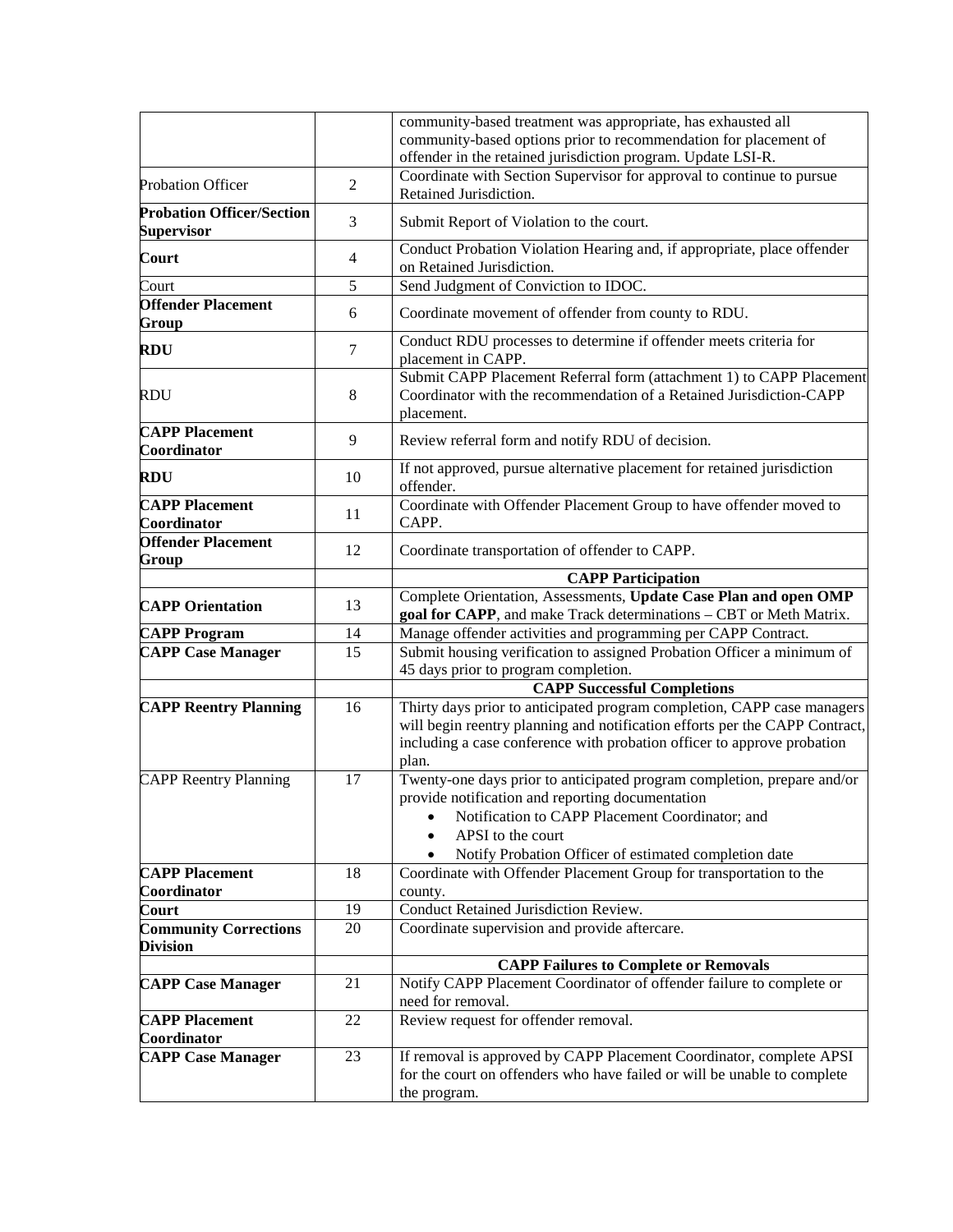|                                                       |                 | community-based treatment was appropriate, has exhausted all<br>community-based options prior to recommendation for placement of<br>offender in the retained jurisdiction program. Update LSI-R.                                           |
|-------------------------------------------------------|-----------------|--------------------------------------------------------------------------------------------------------------------------------------------------------------------------------------------------------------------------------------------|
| <b>Probation Officer</b>                              | $\overline{2}$  | Coordinate with Section Supervisor for approval to continue to pursue<br>Retained Jurisdiction.                                                                                                                                            |
| <b>Probation Officer/Section</b><br><b>Supervisor</b> | 3               | Submit Report of Violation to the court.                                                                                                                                                                                                   |
| Court                                                 | $\overline{4}$  | Conduct Probation Violation Hearing and, if appropriate, place offender<br>on Retained Jurisdiction.                                                                                                                                       |
| Court                                                 | 5               | Send Judgment of Conviction to IDOC.                                                                                                                                                                                                       |
| <b>Offender Placement</b><br>Group                    | 6               | Coordinate movement of offender from county to RDU.                                                                                                                                                                                        |
| RDU                                                   | 7               | Conduct RDU processes to determine if offender meets criteria for<br>placement in CAPP.                                                                                                                                                    |
| RDU                                                   | $\,8\,$         | Submit CAPP Placement Referral form (attachment 1) to CAPP Placement<br>Coordinator with the recommendation of a Retained Jurisdiction-CAPP<br>placement.                                                                                  |
| <b>CAPP Placement</b><br>Coordinator                  | 9               | Review referral form and notify RDU of decision.                                                                                                                                                                                           |
| RDU                                                   | 10              | If not approved, pursue alternative placement for retained jurisdiction<br>offender.                                                                                                                                                       |
| <b>CAPP Placement</b><br>Coordinator                  | 11              | Coordinate with Offender Placement Group to have offender moved to<br>CAPP.                                                                                                                                                                |
| <b>Offender Placement</b><br>Group                    | 12              | Coordinate transportation of offender to CAPP.                                                                                                                                                                                             |
|                                                       |                 | <b>CAPP Participation</b>                                                                                                                                                                                                                  |
| <b>CAPP Orientation</b>                               | 13              | Complete Orientation, Assessments, Update Case Plan and open OMP<br>goal for CAPP, and make Track determinations - CBT or Meth Matrix.                                                                                                     |
| <b>CAPP Program</b>                                   | 14              | Manage offender activities and programming per CAPP Contract.                                                                                                                                                                              |
| <b>CAPP Case Manager</b>                              | $\overline{15}$ | Submit housing verification to assigned Probation Officer a minimum of<br>45 days prior to program completion.                                                                                                                             |
|                                                       |                 | <b>CAPP Successful Completions</b>                                                                                                                                                                                                         |
| <b>CAPP Reentry Planning</b>                          | 16              | Thirty days prior to anticipated program completion, CAPP case managers<br>will begin reentry planning and notification efforts per the CAPP Contract,<br>including a case conference with probation officer to approve probation<br>plan. |
| <b>CAPP Reentry Planning</b>                          | 17              | Twenty-one days prior to anticipated program completion, prepare and/or<br>provide notification and reporting documentation<br>Notification to CAPP Placement Coordinator; and<br>APSI to the court                                        |
|                                                       |                 | Notify Probation Officer of estimated completion date                                                                                                                                                                                      |
| <b>CAPP Placement</b><br>Coordinator                  | 18              | Coordinate with Offender Placement Group for transportation to the<br>county.                                                                                                                                                              |
| Court                                                 | 19              | Conduct Retained Jurisdiction Review.                                                                                                                                                                                                      |
| <b>Community Corrections</b>                          | 20              | Coordinate supervision and provide aftercare.                                                                                                                                                                                              |
| <b>Division</b>                                       |                 |                                                                                                                                                                                                                                            |
| <b>CAPP Case Manager</b>                              | 21              | <b>CAPP Failures to Complete or Removals</b><br>Notify CAPP Placement Coordinator of offender failure to complete or                                                                                                                       |
|                                                       |                 | need for removal.                                                                                                                                                                                                                          |
| <b>CAPP Placement</b><br>Coordinator                  | 22              | Review request for offender removal.                                                                                                                                                                                                       |
| <b>CAPP Case Manager</b>                              | 23              | If removal is approved by CAPP Placement Coordinator, complete APSI                                                                                                                                                                        |
|                                                       |                 | for the court on offenders who have failed or will be unable to complete<br>the program.                                                                                                                                                   |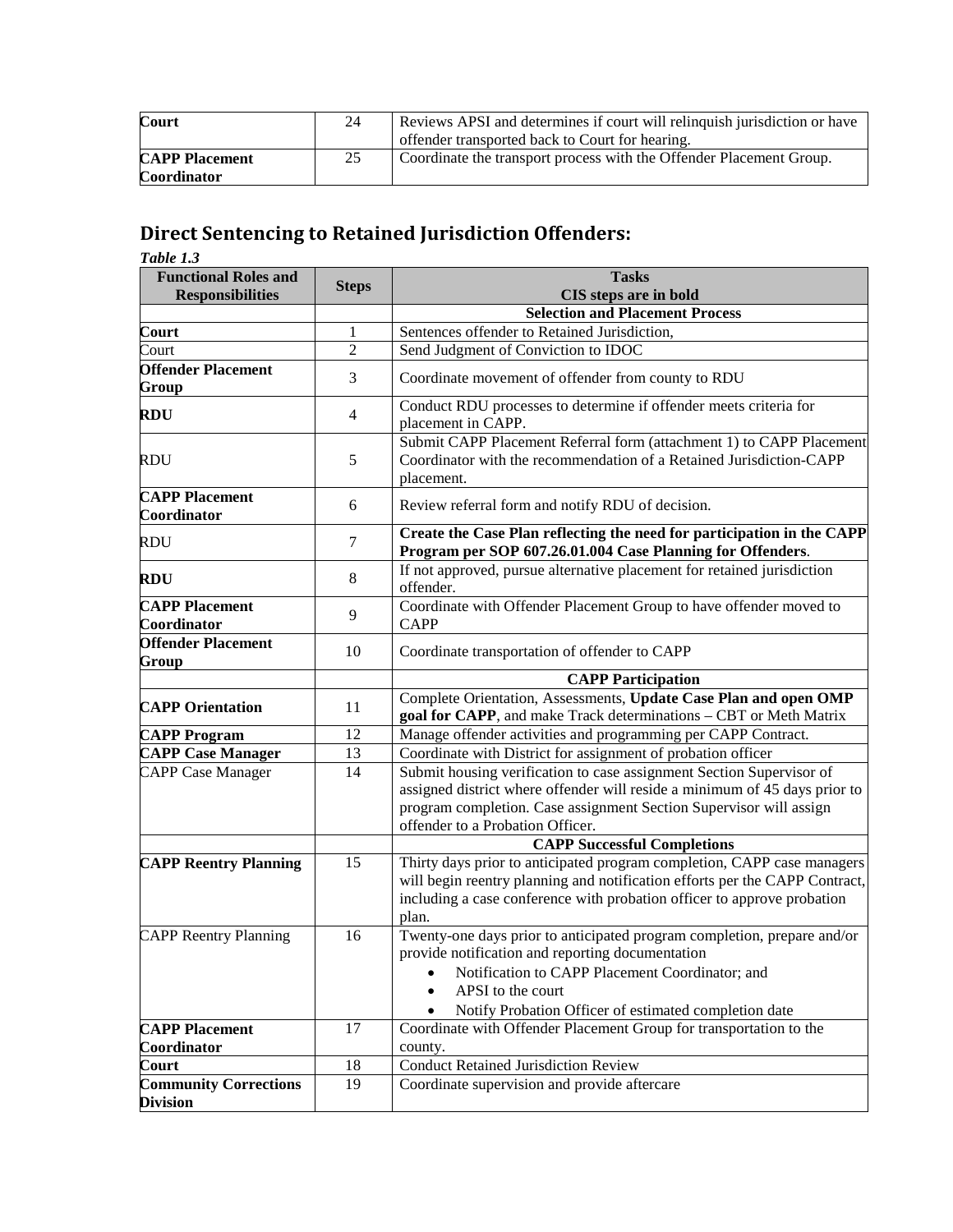| Court                 |    | Reviews APSI and determines if court will relinquish jurisdiction or have |  |
|-----------------------|----|---------------------------------------------------------------------------|--|
|                       |    | offender transported back to Court for hearing.                           |  |
| <b>CAPP Placement</b> | 25 | Coordinate the transport process with the Offender Placement Group.       |  |
| <b>Coordinator</b>    |    |                                                                           |  |

# **Direct Sentencing to Retained Jurisdiction Offenders:**

*Table 1.3*

| <b>Functional Roles and</b>                     | <b>Steps</b>   | <b>Tasks</b>                                                                                                                                                                                                                                                 |  |
|-------------------------------------------------|----------------|--------------------------------------------------------------------------------------------------------------------------------------------------------------------------------------------------------------------------------------------------------------|--|
| <b>Responsibilities</b>                         |                | CIS steps are in bold                                                                                                                                                                                                                                        |  |
|                                                 |                | <b>Selection and Placement Process</b>                                                                                                                                                                                                                       |  |
| Court                                           | 1              | Sentences offender to Retained Jurisdiction,                                                                                                                                                                                                                 |  |
| Court                                           | $\sqrt{2}$     | Send Judgment of Conviction to IDOC                                                                                                                                                                                                                          |  |
| <b>Offender Placement</b><br>Group              | 3              | Coordinate movement of offender from county to RDU                                                                                                                                                                                                           |  |
| RDU                                             | $\overline{4}$ | Conduct RDU processes to determine if offender meets criteria for<br>placement in CAPP.                                                                                                                                                                      |  |
| RDU                                             | 5              | Submit CAPP Placement Referral form (attachment 1) to CAPP Placement<br>Coordinator with the recommendation of a Retained Jurisdiction-CAPP<br>placement.                                                                                                    |  |
| <b>CAPP Placement</b><br>Coordinator            | 6              | Review referral form and notify RDU of decision.                                                                                                                                                                                                             |  |
| <b>RDU</b>                                      | 7              | Create the Case Plan reflecting the need for participation in the CAPP<br>Program per SOP 607.26.01.004 Case Planning for Offenders.                                                                                                                         |  |
| RDU                                             | 8              | If not approved, pursue alternative placement for retained jurisdiction<br>offender.                                                                                                                                                                         |  |
| <b>CAPP Placement</b><br>Coordinator            | 9              | Coordinate with Offender Placement Group to have offender moved to<br><b>CAPP</b>                                                                                                                                                                            |  |
| <b>Offender Placement</b><br>Group              | 10             | Coordinate transportation of offender to CAPP                                                                                                                                                                                                                |  |
|                                                 |                | <b>CAPP Participation</b>                                                                                                                                                                                                                                    |  |
| <b>CAPP Orientation</b>                         | 11             | Complete Orientation, Assessments, Update Case Plan and open OMP<br>goal for CAPP, and make Track determinations - CBT or Meth Matrix                                                                                                                        |  |
| <b>CAPP Program</b>                             | 12             | Manage offender activities and programming per CAPP Contract.                                                                                                                                                                                                |  |
| <b>CAPP Case Manager</b>                        | 13             | Coordinate with District for assignment of probation officer                                                                                                                                                                                                 |  |
| <b>CAPP Case Manager</b>                        | 14             | Submit housing verification to case assignment Section Supervisor of<br>assigned district where offender will reside a minimum of 45 days prior to<br>program completion. Case assignment Section Supervisor will assign<br>offender to a Probation Officer. |  |
|                                                 |                | <b>CAPP Successful Completions</b>                                                                                                                                                                                                                           |  |
| <b>CAPP Reentry Planning</b>                    | 15             | Thirty days prior to anticipated program completion, CAPP case managers<br>will begin reentry planning and notification efforts per the CAPP Contract,<br>including a case conference with probation officer to approve probation<br>plan.                   |  |
| <b>CAPP Reentry Planning</b>                    | 16             | Twenty-one days prior to anticipated program completion, prepare and/or<br>provide notification and reporting documentation<br>Notification to CAPP Placement Coordinator; and<br>APSI to the court<br>Notify Probation Officer of estimated completion date |  |
| <b>CAPP Placement</b>                           | 17             | Coordinate with Offender Placement Group for transportation to the                                                                                                                                                                                           |  |
| Coordinator                                     |                | county.                                                                                                                                                                                                                                                      |  |
| Court                                           | 18             | <b>Conduct Retained Jurisdiction Review</b>                                                                                                                                                                                                                  |  |
| <b>Community Corrections</b><br><b>Division</b> | 19             | Coordinate supervision and provide aftercare                                                                                                                                                                                                                 |  |